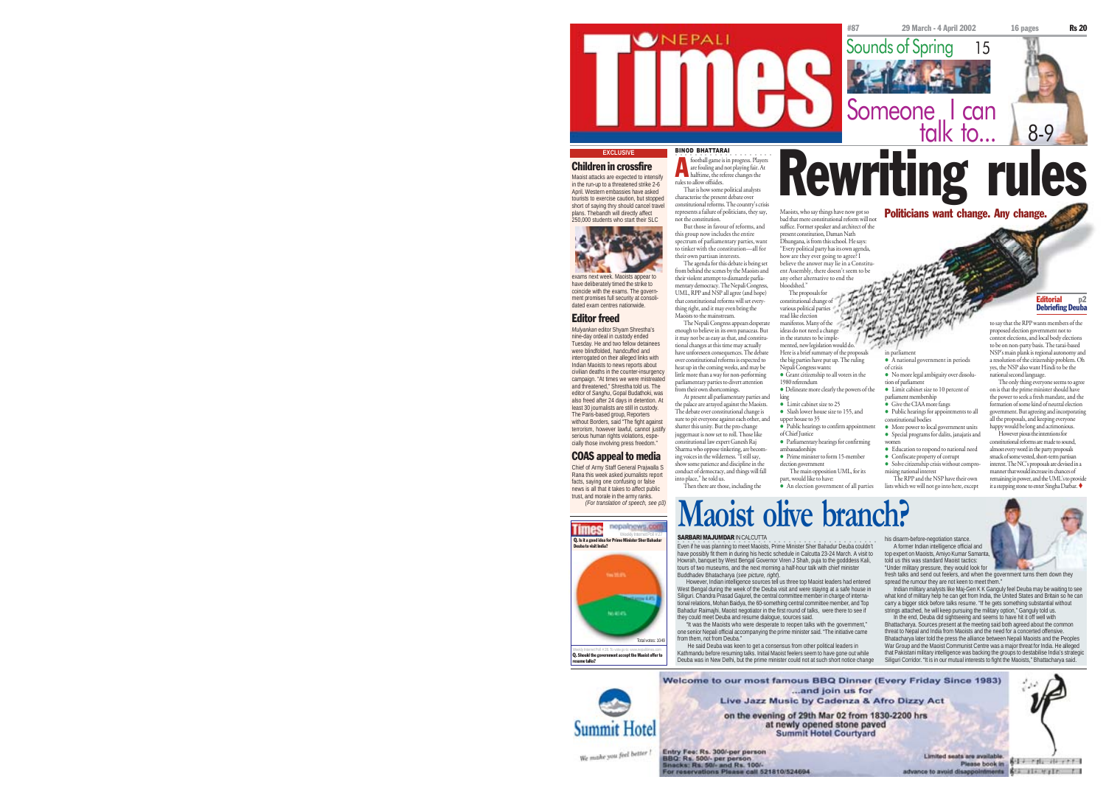

## **EXCLUSIVE**

plans. Thebandh will directly affect 250,000 students who start their SLC



exams next week. Maoists appear to have deliberately timed the strike to coincide with the exams. The government promises full security at consolidated exam centres nationwide.

Editor freed *Mulyankan* editor Shyam Shrestha's nine-day ordeal in custody ended Tuesday. He and two fellow detainees were blindfolded, handcuffed and interrogated on their alleged links with Indian Maoists to news reports about civilian deaths in the counter-insurgency campaign. "At times we were mistreated and threatened," Shrestha told us. The editor of *Sanghu*, Gopal Budathoki, was also freed after 24 days in detention. At least 30 journalists are still in custody. The Paris-based group, Reporters

without Borders, said "The fight against terrorism, however lawful, cannot justify serious human rights violations, especially those involving press freedom." COAS appeal to media

Chief of Army Staff General Prajwalla S Rana this week asked journalists report facts, saying one confusing or false news is all that it takes to affect public trust, and morale in the army ranks. *(For translation of speech, see p3)*

**Times** 

are fouling and not playing fair. At football game is in progress. Play<br>are fouling and not playing fair.<br>halftime, the referee changes the rules to allow offsides. That is how some political analysts characterise the present debate over constitutional reforms. The country's crisis represents a failure of politicians, they say,  $P_{\text{bol}^{\text{th}}$  than  $\text{SUS}_n$  who say things have now got so  $P_{\text{ol}^{\text{th}}}$  and  $P_{\text{ol}^{\text{th}}}$  and  $P_{\text{ol}^{\text{th}}}$  want change. Any change  $\text{B.}\left( \text{C.}\left( \text{C.}\left( \text{C.}\left( \text{C.}\left( \text{C.}\left( \text{C.}\right) \right) \right) \right) \right) \text{ for the number of nodes.} \right) \text{ (s.}\left( \text{C.}\left( \text{C.}\left( \text{C.}\right) \right) \right) \text{ (s.}\left( \text{C.}\left( \text{C.}\right) \right) \right) \text{ (s.}\left( \text{C.}\left( \text{C.}\right) \right) \text{ (d) } \left( \text{C.}\left( \text{C.}\left( \text{C.}\right) \right) \right) \$ 

not the constitution. But those in favour of reforms, and this group now includes the entire spectrum of parliamentary parties, want to tinker with the constitution—all for their own partisan interests. suffice. Former speaker and architect of the present constitution, Daman Nath Dhungana, is from this school. He says: "Every political party has its own agenda, how are they ever going to agree? I

The agenda for this debate is being set from behind the scenes by the Maoists and their violent attempt to dismantle parliamentary democracy. The Nepali Congress, UML, RPP and NSP all agree (and hope) that constitutional reforms will set everything right, and it may even bring the Maoists to the mainstream. believe the answer may lie in a Constituent Assembly, there doesn't seem to be any other alternative to end the bloodshed." The proposals for constitutional change of read like election

The Nepali Congress appears desperate enough to believe in its own panaceas. But it may not be as easy as that, and constitutional changes at this time may actually have unforeseen consequences. The debate over constitutional reforms is expected to heat up in the coming weeks, and may be little more than a way for non-performing parliamentary parties to divert attention from their own shortcomings.

At present all parliamentary parties and the palace are arrayed against the Maoists. The debate over constitutional change is sure to pit everyone against each other, and king <sup>z</sup> Limit cabinet size to 25 upper house to 35

shatter this unity. But the pro-change juggernaut is now set to roll. Those like constitutional law expert Ganesh Raj Sharma who oppose tinkering, are becom-ing voices in the wilderness. "I still say, of Chief Justice ambassadorships

show some patience and discipline in the show some paneme and discipline in the<br>conduct of democracy, and things will fall election government part, would like to have:

Then there are those, including the

# **Maoist o**

#### SARBARI MAJUMDAR IN CALCUTTA

into place," he told us.

.<br>Even if he was planning to meet Maoists, Prime Minister Sher Bahadur Deuba couldn't have possibly fit them in during his hectic schedule in Calcutta 23-24 March. A visit to Howrah, banquet by West Bengal Governor Viren J Shah, puja to the godddess Kali, tours of two museums, and the next morning a half-hour talk with chief minister Buddhadev Bhatacharya (*see picture, right*).

However, Indian intelligence sources tell us three top Maoist leaders had entered West Bengal during the week of the Deuba visit and were staying at a safe house in Siliguri. Chandra Prasad Gajurel, the central committee member in charge of international relations, Mohan Baidya, the 60-something central committee member, and Top Bahadur Raimajhi, Maoist negotiator in the first round of talks, were there to see if they could meet Deuba and resume dialogue, sources said.

"It was the Maoists who were desperate to reopen talks with the government," one senior Nepali official accompanying the prime minister said. "The initiative came from them, not from Deuba." He said Deuba was keen to get a consensus from other political leaders in

Kathmandu before resuming talks. Initial Maoist feelers seem to have gone out while Deuba was in New Delhi, but the prime minister could not at such short notice change

A former Indian intelligence official and top expert on Maoists, Amiyo Kumar Samanta, told us this was standard Maoist tactics: spread the rumour they are not keen to meet them.

Indian military analysts like Maj-Gen K K Ganguly feel Deuba may be waiting to see what kind of military help he can get from India, the United States and Britain so he can carry a bigger stick before talks resume. "If he gets something substantial without strings attached, he will keep pursuing the military option," Ganguly told us. In the end, Deuba did sightseeing and seems to have hit it off well with Bhattacharya. Sources present at the meeting said both agreed about the common threat to Nepal and India from Maoists and the need for a concerted offensive. Bhatacharya later told the press the alliance between Nepali Maoists and the Peoples War Group and the Maoist Communist Centre was a major threat for India. He alleged that Pakistani military intelligence was backing the groups to destabilise India's strategic

Siliguri Corridor. "It is in our mutual interests to fight the Maoists," Bhattacharya said.



various political parties manifestos. Many of the ideas do not need a change

in the statutes to be implemented, new legislation would do. mented, new regulation would do.<br>Here is a brief summary of the prop the big parties have put up. The ruling Nepali Congress wants: in parliament <sup>z</sup> A national government in periods of crisis

<sup>z</sup> Grant citizenship to all voters in the 1980 referendum <sup>z</sup> Delineate more clearly the powers of the • No more legal ambiguity over dissolution of parliament • Limit cabinet size to 10 percent of parliament membership <sup>z</sup> Give the CIAA more fangs

• Slash lower house size to 155, and

- $\bullet$  Public hearings to confirm appo • Parliamentary hearings for confirming constitutional bodies • More power to local government units <sup>z</sup> Special programs for dalits, janajatis and women
- Prime minister to form 15-member

The main opposition UML, for its

 $\bullet$  An election government of all parties

# his disarm-before-negotiation stance.

• Public hearings for appointments to all

• Education to respond to national need • Confiscate property of corrupt  $\bullet$  Solve citizenship crisis without compr mising national interest The RPP and the NSP have their own lists which we will not go into here, except



to say that the RPP wants members of the<br>proposed election government not to proposed election go test elections, and local body election to be on non-party basis. The tarai-based NSP's main plank is regional autonomy and a resolution of the citizenship problem. Oh yes, the NSP also want Hindi to be the national second language. The only thing everyone seems to agree on is that the prime minister should have the power to seek a fresh mandate, and the formation of some kind of neutral election government. But agreeing and incorporating all the proposals, and keeping everyone happy would be long and acrimonious. However pious the intentions for constitutional reforms are made to sound, almost every word in the party proposals smack of some vested, short-term partisan interest. The NC's proposals are devised in a manner that would increase its chances of remaining in power, and the UML's to provide it a stepping stone to enter Singha Darbar.

Editorial p2 Debriefing Deuba

Q. Is it a good Deuba to visit India?

nepalnows.com



Q. Should the government accept the Maoist offer to resume talks? Weekly Internet Poll # 28. To vote go to: www.nepalitimes.com

**Summit Hotel**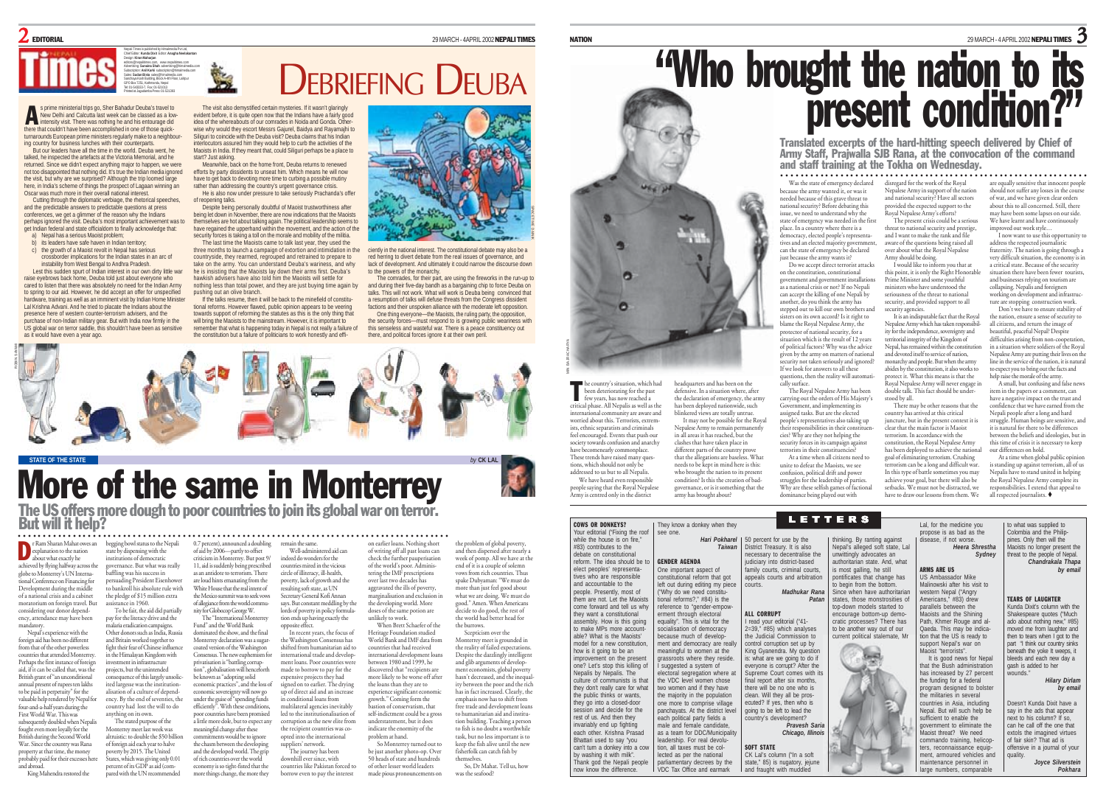

s prime ministerial trips go, Sher Bahadur Deuba's travel to New Delhi and Calcutta last week can be classed as a low**interpreferent intensity visit. There was nothing he and his entourage did his entourage did here that couldn't have been accomplished in one of those quick-**<br>there that couldn't have been accomplished in one of those qui turnarounds European prime ministers regularly make to a neighbouring country for business lunches with their counterparts.

But our leaders have all the time in the world. Deuba went, he talked, he inspected the artefacts at the Victoria Memorial, and he returned. Since we didn't expect anything major to happen, we were not too disappointed that nothing did. It's true the Indian media ignored the visit, but why are we surprised? Although the trip loomed large here, in India's scheme of things the prospect of Lagaan winning an Oscar was much more in their overall national interest.

cal was much more in their overall haddled interest.<br>Cutting through the diplomatic verbiage, the rhetorical speeches, and the predictable answers to predictable questions at press conferences, we get a glimmer of the reason why the Indians perhaps ignored the visit. Deuba's most important achievement was to get Indian federal and state officialdom to finally acknowledge that:

- a) Nepal has a serious Maoist problem; **its leaders have safe haven in Indian territory**
- $\epsilon$ ) the growth of a Maoist revolt in Nepal has serious crossborder implications for the Indian states in an arc of

instability from West Bengal to Andhra Pradesh. Lest this sudden spurt of Indian interest in our own dirty little war

raise eyebrows back home, Deuba told just about everyone who cared to listen that there was absolutely no need for the Indian Arm to spring to our aid. However, he did accept an offer for unspecified hardware, training as well as an imminent visit by Indian Home Minister Lal Krishna Advani. And he tried to placate the Indians about the presence here of western counter-terrorism advisers, and the purchase of non-Indian military gear. But with India now firmly in the US global war on terror saddle, this shouldn't have been as sensitive as it would have even a year ago.

DEBRIEFING DEUBA **The Sea** The visit also demystified certain mysteries. If it wasn't glaringly evident before, it is quite open now that the Indians have a fairly good

idea of the whereabouts of our comrades in Noida and Gonda. Otherwise why would they escort Messrs Gajurel, Baidya and Rayamajhi to Siliguri to coincide with the Deuba visit? Deuba claims that his Indian interlocutors assured him they would help to curb the activities of the Manists in India. If they meant that, could Siliguri perhaps be a place to start? Just asking.

Meanwhile, back on the home front, Deuba returns to renewed efforts by party dissidents to unseat him. Which means he will now have to get back to devoting more time to curbing a possible mutiny rather than addressing the country's urgent governance crisis. He is also now under pressure to take seriously Prachanda's offer

of reopening talks. Despite being personally doubtful of Maoist trustworthiness after being let down in November, there are now indications that the Maoists the down in November, there are now indications that the macrossistic property in the political leadership seems to have regained the upperhand within the movement, and the action of the security forces is taking a toll on the morale and mobility of the militia.

The last time the Maoists came to talk last year, they used the three months to launch a campaign of extortion and intimidation in the countryside, they rearmed, regrouped and retrained to prepare to take on the army. You can understand Deuba's wariness, and why he is insisting that the Maoists lay down their arms first. Deuba's hawkish advisers have also told him the Maoists will settle for nothing less than total power, and they are just buying time again by pushing out an olive branch.

If the talks resume, then it will be back to the minefield of constitutional reforms. However flawed, public opinion appears to be veering towards support of reforming the statutes as this is the only thing that will bring the Maoists to the mainstream. However, it is important to remember that what is happening today in Nepal is not really a failure of the constitution but a failure of politicians to work honestly and effi-



ciently in the national interest. The constitutional debate may also be a red herring to divert debate from the real issues of governance, and lack of development. And ultimately it could narrow the discourse down to the powers of the monarchy.

The comrades, for their part, are using the fireworks in the run-up to and during their five-day bandh as a bargaining chip to force Deuba on<br>talks. This will not work. What will work is Deuba being convinced that a resumption of talks will defuse threats from the Congress dissident factions and their unspoken alliance with the moderate left opposition.

One thing everyone—the Maoists, the ruling party, the opposition, the security forces—must respond to is growing public weariness with this senseless and wasteful war. There is a peace constituency out there, and political forces ignore it at their own peril



**STATE OF THE STATE** *by* **CK LAL**

ROBIN SAYAMI

# More of the same in Monterrey

The US offers more dough to poor countries to join its global war on terror.<br>But will it help?

#### remain the same. ○○○○○○○○○○○○○○○○○○○○○○○○○○○○○○○ ○○○○○○○○○○○○○○○○○○○○○○○○○○○○○○○○○○○○○○○○○○○○○○○○○○○○○○○○

r Ram Sharan Mahat owes an begging bowl status to the Nepali **Explanation to the nation**<br>about what exactly be about what exactly he achieved by flying halfway across the globe to Monterrey's UN International Conference on Financing for Development during the middle of a national crisis and a cabinet moratorium on foreign travel. But

considering our donor depend-ency, attendance may have been mandatory. Nepal's experience with the foreign aid has been no different

from that of the other powerless countries that attended Monterrey. Perhaps the first instance of foreign aid, if it can be called that, was the British grant of "an unconditional annual present of rupees ten lakhs to be paid in perpetuity" for the valuable help rendered by Nepal for four-and-a-half years during the First World War. This was subsequently doubled when Nepalis fought even more loyally for the and Britain worked together to fight their fear of Chinese influence in the Himalayan Kingdom with investment in infrastructure projects, but the unintended sequence of this largely unsolicited largesse was the institutionalisation of a culture of dependency. By the end of seventies, the country had lost the will to do anything on its own. The stated purpose of the

 $rac{a}{2}$  in 1960.

British during the Second World War. Since the country was Rana property at that time, the money probably paid for their excesses her Monterrey meet last week was alterieries to double the \$50 billion of foreign aid each year to halve poverty by 2015. The United States, which was giving only 0.01 percent of its GDP as aid (com-

and abroad. King Mahendra restored the pared with the UN recommended

state by dispensing with the institutions of democratic governance. But what was really baffling was his success in persuading President Eisenhowe to bankroll his absolute rule with the pledge of \$15 million extra To be fair, the aid did partially pay for the literacy drive and the malaria eradication campaigns. Other donors such as India, Russia 0.7 percent), announced a doubling of aid by 2006—partly to offset criticism in Monterrey. But post 9/ 11, aid is suddenly being prescribed as an antidote to terrorism. There are loud hints emanating from the White House that the real intent of the Mexico summit was to seek vows of allegiance from the world community for Globocop George W. The "International Monterrey Fund" and the World Bank indeed do wonders for the countries mired in the vicious

Monterrey declaration was a sugarcoated version of the Washington Consensus. The new euphemism fo privatisation is "battling corruption", globalisation will henceforth be known as "adopting solid economic practices", and the loss of economic sovereignty will now go under the guise of "spending funds efficiently". With these conditions, poor countries have been promised a little more dole, but to expect any meaningful change after these commitments would be to ignore the chasm between the developing and the developed world. The grip of rich countries over the world

economy is so tight-fisted that the more things change, the more they

dominated the show, and the final circle of illiteracy, ill-health, poverty, lack of growth and the resulting soft state, as UN Secretary General Kofi Annan says. But constant meddling by the lords of poverty in policy formulation ends up having exactly the opposite effect. In recent years, the focus of

suppliers' network.

the Washington Consensus has shifted from humanitarian aid to international trade and development loans. Poor countries were made to borrow to pay for the expensive projects they had signed on to earlier. The drying up of direct aid and an increase conditional loans from multilateral agencies inevitably led to the institutionalisation of corruption as the new elite from the recipient countries was coopted into the international

Well-administered aid can

The journey has been downhill ever since, with countries like Pakistan forced to borrow even to pay the interest So Monterrey turned out to be just another photo-op. Over 50 heads of state and hundreds of other lesser world leaders made pious pronouncements on

unlikely to work.

the loans than they are to

understatement, but it does

problem at hand.

on earlier loans. Nothing short of writing off all past loans can check the further pauperisation of the world's poor. Administering the IMF prescriptions over last two decades has aggravated the ills of poverty, marginalisation and exclusion in the developing world. More doses of the same potion are When Brett Schaefer of the the problem of global poverty, and then dispersed after nearly a week of pomp. All we have at the end of it is a couple of solemn vows from rich countries. Thus spake Dubyaman: "We must do more than just feel good about what we are doing. We must do good." Amen. When Americans decide to do good, the rest of the world had better head for the burrows.

Heritage Foundation studied World Bank and IMF data from countries that had received international development loans between 1980 and 1999, he discovered that "recipients are more likely to be worse off after experience significant economi growth." Coming form the bastion of conservatism, that self-indictment could be a gross indicate the enormity of the Scepticism over the Monterrey meet is grounded in the reality of failed expectations. Despite the dazzlingly intelligent and glib arguments of development economists, global poverty hasn't decreased, and the inequality between the poor and the rich has in fact increased. Clearly, the emphasis now has to shift from free trade and development loans to humanitarian aid and institution building. Teaching a person to fish is no doubt a worthwhile task, but no less important is to keep the fish alive until the new fisherfolk can catch fish by themselves.

So, Dr Mahat. Tell us, how was the seafood?

O MIN BAJRACHARYA untry's situation, which had T been deteriorating for the past few years, has now reached a critical phase. All Nepalis as well as the international community are aware and worried about this. Terrorists, extremists, ethnic separatists and criminals feel encouraged. Events that push our society towards confusion and anarchy

have becomenearly commonplace. These trends have raised many questions, which should not only be addressed to us but to all Nepalis. We have heard even responsible

COWS OR DONKEYS? Your editorial ("Fixing the roof while the house is on fire." #83) contributes to the debate on constitutional reform. The idea should be to elect peoples' representatives who are responsible and accountable to the people. Presently, most of them are not. Let the Maoists come forward and tell us why they want a constitutional assembly. How is this going to make MPs more accountable? What is the Maoists model for a new constitution how is it going to be an improvement on the present one? Let's stop this killing of Nepalis by Nepalis. The culture of communists is that they don't really care for what the public thinks or wants. they go into a closed-door session and decide for the rest of us. And then they invariably end up fighting each other. Krishna Prasad Bhattari used to say "you can't turn a donkey into a cow by washing it with milk". Thank god the Nepali people now know the difference.

people saying that the Royal Nepalese Army is centred only in the district governance; or is resourc

in all areas it has reached, but the clashes that have taken place in different parts of the country prove that the allegations are baseless. What

needs to be kept in mind here is this: who brought the nation to its present condition? Is this the creation of badgovernance, or is it something that the At a time when all citizens need to unite to defeat the Maoists, we see confusion, political drift and power struggles for the leadership of parties. Why are these selfish games of factional dominance being played out with

Was the state of emergency declared disregard for the work of the Royal because the army wanted it, or was it state of emergency was needed in the first Nepalese Army in support of the nation and national security? Have all sectors provided the expected support to the Royal Nepalese Army's efforts?

Army should be doing.

this point, it is only the Right Honorable Prime Minister and some youthful ministers who have understood the seriousness of the threat to national security, and provided support to all security agencies.

It is an indisputable fact that the Royal Nepalese Army which has taken responsibility for the independence, sovereignty and territorial integrity of the Kingdom of Nepal, has remained within the constitution and devoted itself to service of nation, monarchy and people. But when the army abides by the constitution, it also works to protect it. What this means is that the Royal Nepalese Army will never engage in double talk. This fact should be understood by all.

There may be other reasons that the country has arrived at this critical juncture, but in the present context it is clear that the main factor is Maoist terrorism. In accordance with the constitution, the Royal Nepalese Army has been deployed to achieve the national goal of eliminating terrorism. Crushing terrorism can be a long and difficult war. In this type of battle sometimes you may achieve your goal, but there will also be setbacks. We must not be distracted, we have to draw our lessons from them. We



# ○○○○○○○○○○○○○○○○○○○○○○○○○ ○○○○○○○○○○○○○○○○○○○○○○○○○○○○○○○○○○○○○ are equally sensitive that innocent people

should not suffer any losses in the course of war, and we have given clear orders about this to all concerned. Still, there may have been some lapses on our side. We have learnt and have continuously

improved out work style… I now want to use this opportunity to address the respected journalistic fraternity. The nation is going through a very difficult situation, the economy is in a critical state. Because of the security a critical state. Decause of the security<br>situation there have been fewer tourists,

and businesses relying on tourism are collapsing. Nepalis and foreigners working on development and infrastructure are stopping construction work. Don't we have to ensure stability of

the nation, ensure a sense of security to all citizens, and return the image of beautiful, peaceful Nepal? Despite difficulties arising from nonin a situation where soldiers of the Royal Nepalese Army are putting their lives on the line in the service of the nation, it is natural to expect you to bring out the facts and

item in the papers or a comment, can have a negative impact on the trust and confidence that we have earned from the Nepali people after a long and hard struggle. Human beings are sensitive, and it is natural for there to be differences between the beliefs and ideologies, but in this time of crisis it is necessary to keep

At a time when global public opinion is standing up against terrorism, all of us Nepalis have to stand united in helping the Royal Nepalese Army complete it responsibilities. I extend that appeal to

# 29 MARCH - 4 APRIL 2002 **NEPALI TIMES** 3 "Who brought the nation to its<br>present condition?"

needed because of this grave threat to national security? Before debating this issue, we need to understand why the

place. In a country where there is a democracy, elected people's representatives and an elected majority government, can the state of emergency be declared just because the army wants it? Do we accept direct terrorist attacks on the constitution, constitutional government and government installations as a national crisis or not? If no Nepali can accept the killing of one Nepali by another, do you think the army has stepped out to kill our own brothers and sisters on its own accord? Is it right to blame the Royal Nepalese Army, the protector of national security, for a situation which is the result of 12 years of political factors? Why was the advice <sup>g</sup>iven by the army on matters of national security not taken seriously and ignored? If we look for answers to all these stions, then the reality will automati-

cally surface.

The Royal Nepalese Army has been carrying out the orders of His Majesty's Government, and implementing its assigned tasks. But are the elected people's representatives also taking up people *s* representances also taking cies? Why are they not helping the security forces in its campaign against terrorists in their constituencies?

Translated excerpts of the hard-hitting speech delivered by Chief of Army Staff, Prajwalla SJB Rana, at the convocation of the command and staff training at the Tokha on Wednesday.

The present crisis could be a serious threat to national security and prestige, and I want to make the rank and file aware of the questions being raised all over about what the Royal Nepalese

I would like to inform you that at

help raise the morale of the army.

A small, but confusing and false news

our differences on hold.

all respected journalists.

headquarters and has been on the defensive. In a situation where, after the declaration of emergency, the army has been deployed nationwide, such blinkered views are totally untrue. It may not be possible for the Royal Nepalese Army to remain permanently

 $u_{\frac{p}{2}}$ 



NATION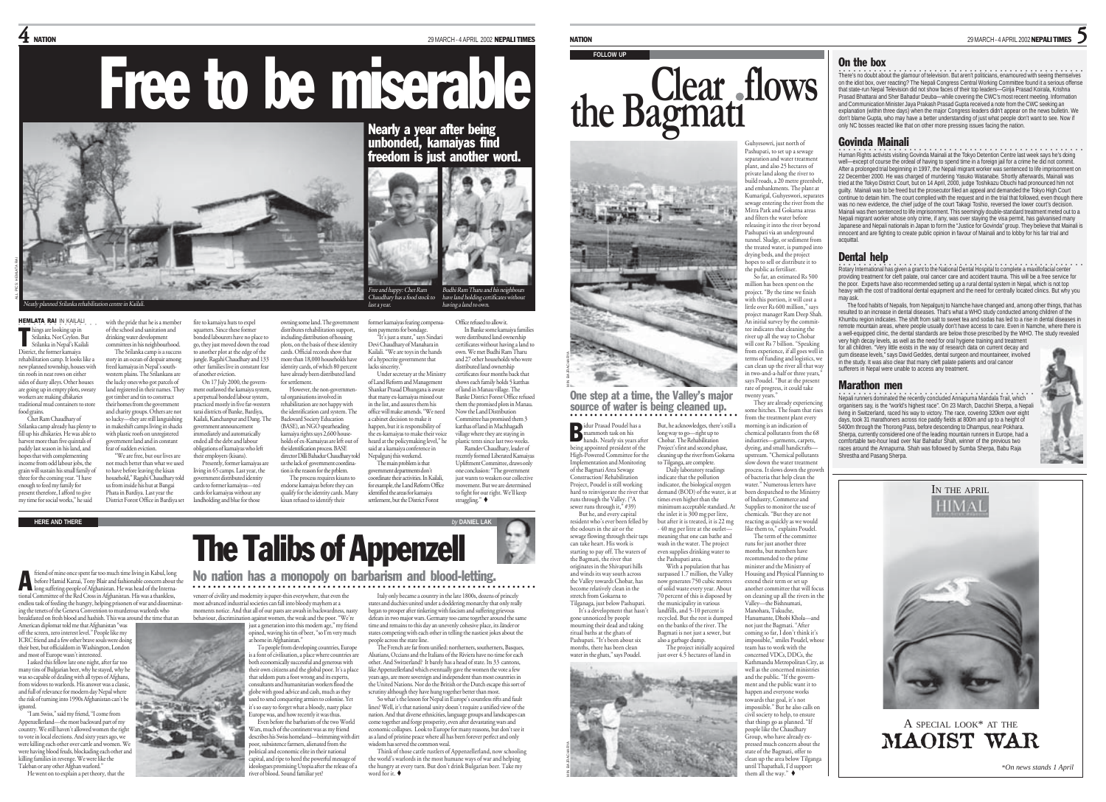$\bf 4$  NATION  $^{\text{29 MARCH-4} \, \text{APRLI}}$  TIMES

Free to be miserable



with the pride that he is a membe of the school and sanitation and drinking water development mg water development.<br>nittees in his neighbourhood.

in makeshift camps living in shacks with plastic roofs on unregistered government land and in constant fear of sudden eviction.

HEMLATA RAI IN KAILALI nings are looking up in<br>Srilanka. Not Ceylon. But<br>Srilanka in Nenal's Kailali Srilanka. Not Ceylon. But Srilanka in Nepal's Kailali District, the former kamaiya

rehabilitation camp. It looks like a new planned township, houses with tin roofs in neat rows on either sides of dusty alleys. Other house are going up in empty plots, sweaty workers are making dhikaries traditional mud containers to store food grains. u gianis.<br>Chet Ram Chaudhary of The Srilanka camp is a success story in an ocean of despair among freed kamaiyas in Nepal's southwestern plains. The Srilankans are the lucky ones who got parcels of land registered in their names. They got timber and tin to construct their homes from the government and charity groups. Others are not so lucky—they are still languishing

Srilanka camp already has plenty to ornanka camp aireacry nas pienty to<br>fill up his *dhikarie*s. He was able to harvest more than five quintals of paddy last season in his land, and hangs that with complementing nopes urat with complementing<br>income from odd labour jobs, the grain will sustain his small family of three for the coming year. "I have enough to feed my family for present therefore, I afford to give my time for social works," he said

long suffering-people of Afghanistan. He was head of the International Committee of the Red Cross in Afghanistan. His was a thankless, endless task of feeding the hungry, helping prisoners of war and disseminating the tenets of the Geneva Convention to murderous warlords who breakfasted on fresh blood and hashish. This was around the time that an

American diplomat told me that Afghanistan "was off the screen, zero interest level." People like my ICRC friend and a few other brave souls were doing their best, but officialdom in Washington, London and most of Europe wasn't interested.

I asked this fellow late one night, after far too many tins of Bulgarian beer, why he stayed, why he was so capable of dealing with all types of Afghans, from widows to warlords. His answer was a classic, and full of relevance for modern day Nepal where the risk of turning into 1990s Afghanistan can't be ignored.

"I am Swiss," said my friend, "I come from Appenzellerland—the most backward part of my country. We still haven't allowed women the right to vote in local elections. And sixty years ago, we were killing each other over cattle and women. We were having blood feuds, blockading each other and killing families in revenge. We were like the Taleban or any other Afghan warlord."

He went on to explain a pet theory, that the

fire to kamaiya huts to expe squatters. Since these former bonded labourers have no place to go, they just moved down the road to another plot at the edge of the jungle. Ragahi Chaudhary and 133 other families live in constant fear of another eviction. On 17 July 2000, the government outlawed the kamaiya system a perpetual bonded labour system, practiced mostly in five far-western tarai districts of Banke, Bardiya, Kailali, Kanchanpur and Dang. The government announcement immediately and automatically ended all the debt and labour obligations of kamaiyas who left

"We are free, but our lives are not much better than what we used to have before leaving the kisan household," Ragahi Chaudhary told us from inside his hut at Bangai Phata in Bardiya. Last year the District Forest Office in Bardiya set their employers (kisans). Presently, former kamaiyas are living in 65 camps. Last year, the ment distributed identity cards to former kamaiyas—red cards for kamaiyas without any

owning some land. The governm distributes rehabilitation support, including distribution of housing plots, on the basis of these identity cards. Official records show that more than 18,000 households have identity cards, of which 80 percent have already been distributed land for settlement. However, the non-governmental organisations involved in rehabilitation are not happy with the identification card system. The Backward Society Education (BASE), an NGÓ spearheading

kamaiya rights says 2,600 households of ex-Kamaiyas are left out of the identification process. BASE director Dilli Bahadur Chaudhary told us the lack of government coordination is the reason for the prblem.

The process requires kisans to endorse kamaiyas before they can uny for the factury career.<br>in refused to identify their

former kamaiyas fearing compensa-tion payments for bondage. "It's just a stunt," says Sindari Devi Chaudhary of Manahara in Kailali. "We are toys in the hands of a hypocrite government that lacks sincerity. Under secretary at the Ministry of Land Reform and Management Shankar Prasad Dhungana is aware that many ex-kamaiyas missed out in the list, and assures them his office will make amends. "We need a cabinet decision to make it

the ex-kamaiyas to make their voice heard at the policymaking level," he said at a kamaiya conference in Nepalgunj this weekend. The main problem is that government departments don't

happen, but it is responsibility of coordinate their activities. In Kailali, movement. But we are determined

were distributed land ownership certificates without having a land to own. We met Budhi Ram Tharu and 27 other households who were distributed land ownership certificates four months back that shows each family holds 5 katthas of land in Manau village. The Banke District Forest Office refused them the promised plots in Manau. Now the Land Distribution Committee has promised them 3 katthas of land in Machhagadh

 $B_1, B_2, B_3, \ldots, B_n$ have land holding certificates without having a land to own.

> Office refused to allow it. In Banke some kamaiya familie

village where they are staying in plastic tents since last two weeks Ramdev Chaudhary, leader of recently formed Liberated Kamaiyas Upliftment Committee, draws only one conclusion: "The government just wants to weaken our collective

to fight for our right. We'll keep struggling."



**FOLLOW UP**



One step at a time, the Valley's major source of water is being cleaned up. ○○○○○○○○○○○○○○○○○○○○○○○○○○○○○○○○○○○

idur Prasad Poudel has a mama a baada mi<br>noth task on his hands. Nearly six years after being appointed president of the High-Powered Committee for the Implementation and Monitoring of the Bagmati Area Sewage Construction/ Rehabilitation Project, Poudel is still working hard to reinvigorate the river that runs through the Valley. ("A sewer runs through it," #39) But he, and every capital resident who's ever been felled by the odours in the air or the sewage flowing through their taps can take heart. His work is But, he acknowledges, there's still a long way to go—right up to Chobar. The Rehabilitation Project's first and second phase, cleaning up the river from Gokama to Tilganga, are complete. Daily laboratory readings indicate that the pollution indicator, the biological oxygen demand (BOD) of the water, is at times even higher than the minimum acceptable standard. At the inlet it is 300 mg per litre, but after it is treated, it is 22 mg - 40 mg per litre at the outlet meaning that one can bathe and

B

MIN BAJRACHARYA

MIN BAJRACHARYA

starting to pay off. The waters of the Bagmati, the river that originates in the Shivapuri hills and winds its way south across the Valley towards Chobar, has become relatively clean in the stretch from Gokarna to Tilganaga, just below Pashupati. It's a development that hasn't gone unnoticed by people mourning their dead and taking wash in the water. The project even supplies drinking water to the Pashupati area. With a population that has surpassed 1.7 million, the Valley now generates 750 cubic metres of solid waste every year. About 70 percent of this is disposed by the municipality in various landfills, and 5-10 percent is

ritual baths at the ghats of Pashupati. "It's been about six months, there has been clean recycled. But the rest is dumped on the banks of the river. The Bagmati is not just a sewer, but also a garbage dump. The project initially acquired just over 4.5 hectares of land in



Guhyesowri, just north of Pashupati, to set up a sewage separation and water treatment plant, and also 25 hectares of private land along the river to build roads, a 20 metre greenbelt, and embankments. The plant at and embanaments. The plant at sewage entering the river from the  $M_{\text{max}}$  Park and  $G$  channels areas and filters the water before releasing it into the river beyond Pashupati via an underground tunnel. Sludge, or sediment from the treated water, is numped into drying beds, and the project arying ocus, and the project<br>hopes to sell or distribute it to the public as fertiliser. So far, an estimated Rs 500

million has been spent on the project. "By the time we finish with this portion, it will cost a little over Rs 600 million," says project manager Ram Deep Shah. An initial survey by the committee indicates that cleaning the river up all the way to Chobar will cost Rs 7 billion. "Speaking from experience, if all goes well in terms of funding and logistics, we can clean up the river all that way in two-and-a-half or three years, says Poudel. "But at the present rate of progress, it could take twenty years."

They are already experiencing me hitches. The foam that rise from the treatment plant every morning is an indication of chemical pollutants from the 68 industries—garments, carpets, dyeing, and small handicrafts upstream. "Chemical pollutants slow down the water treatment process. It slows down the growth of bacteria that help clean the water." Numerous letters have been despatched to the Ministry of Industry, Commerce and Supplies to monitor the use of chemicals. "But they are not reacting as quickly as we would like them to," explains Poudel. The term of the committee runs for just another three months, but members have recommended to the prime minister and the Ministry of Housing and Physical Planning to extend their term or set up another committee that will focus on cleaning up all the rivers in the Valley—the Bishnumati, Manohara, Tukuche, Hanumante, Dhobi Khola—and not just the Bagmati. "After coming so far, I don't think it's mpossible," smiles Poudel, who team has to work with the concerned VDCs, DDCs, the Kathmandu Metropolitan City, as well as the concerned ministries and the public. "If the govern-

ment and the public want it to happen and everyone works towards that goal, it's not impossible." But he also calls on civil society to help, to ensure that things go as planned. "If people like the Chaudhary Group, who have already expressed much concern about the state of the Bagmati, offer to clean up the area below Tilganga until Thapathali, I'd support them all the way."

NATION 29 MARCH - 4 APRIL 2002 NEPALI TIMES

5

### On the box

.<br>There's no doubt about the glamour of television. But aren't politicians, enamoured with seeing themselves<br>on the idiot box, over reacting? The Nepali Congress Central Working Committee found it a serious offense that state-run Nepal Television did not show faces of their top leaders—Girija Prasad Koirala, Krishna Prasad Bhattarai and Sher Bahadur Deuba—while covering the CWC's most recent meeting. Information and Communication Minister Jaya Prakash Prasad Gupta received a note from the CWC seeking an explanation (within three days) when the major Congress leaders didn't appear on the news bulletin. We don't blame Gupta, who may have a better understanding of just what people don't want to see. Now if only NC bosses reacted like that on other more pressing issues facing the nation.

### Govinda Mainali

**COOST THE RET COOLD THE STAND FOR THE TORYST ACTS**<br>Human Rights activists visiting Govinda Mainali at the Tokyo Detention Centre last week says he's doing well—except of course the ordeal of having to spend time in a foreign jail for a crime he did not commit. After a prolonged trial beginning in 1997, the Nepali migrant worker was sentenced to life imprisonment on 22 December 2000. He was charged of murdering Yasuko Watanabe. Shortly afterwards, Mainali was tried at the Tokyo District Court, but on 14 April, 2000, judge Toshikazu Obuchi had pronounced him not guilty. Mainali was to be freed but the prosecutor filed an appeal and demanded the Tokyo High Court gamy. Than the to detain him. The court complied with the request and in the trial that followed, even though there was no new evidence, the chief judge of the court Takagi Toshio, reversed the lower court's decision. Mainali was then sentenced to life imprisonment. This seemingly double-standard treatment meted out to a Nepali migrant worker whose only crime, if any, was over staying the visa permit, has galvanised many<br>Japanese and Nepali nationals in Japan to form the "Justice for Govinda" group. They believe that Mainali is<br>innocent an acquittal.

### Dental help

○○<br>Rotary International has given a grant to the National Dental Hospital to complete a maxillofacial center providing treatment for cleft palate, oral cancer care and accident trauma. This will be a free service for the poor. Experts have also recommended setting up a rural dental system in Nepal, which is not top heavy with the cost of traditional dental equipment and the need for centrally located clinics. But why you may ask.

The food habits of Nepalis, from Nepalgunj to Namche have changed and, among other things, that has resulted to an increase in dental diseases. That's what a WHO study conducted among children of the Khumbu region indicates. The shift from salt to sweet tea and sodas has led to a rise in dental diseases in remote mountain areas, where people usually don't have access to care. Even in Namche, where there is a well-equipped clinic, the dental standards are below those prescribed by the WHO. The study revealed very high decay levels, as well as the need for oral hygiene training and treatment for all children. "Very little exists in the way of research data on current decay and

gum disease levels," says David Geddes, dental surgeon and mountaineer, involved in the study. It was also clear that many cleft palate patients and oral cancer sufferers in Nepal were unable to access any treatment.

### Marathon men

•<br>• Nepali runners dominated the recently concluded Annapurna Mandala Trail, which organisers say, is the "world's highest race". On 23 March, Dacchiri Sherpa, a Nepali living in Switzerland, raced his way to victory. The race, covering 320km over eight days, took 31 marathoners across rice paddy fields at 800m and up to a height of 5400m through the Thorong Pass, before descending to Dhampus, near Pokhara. Sherpa, currently considered one of the leading mountain runners in Europe, had a comfortable two-hour lead over Nar Bahadur Shah, winner of the previous two races around the Annapurna. Shah was followed by Sumba Sherpa, Babu Raja Shrestha and Pasang Sherpa.



## A SPECIAL LOOK\* AT THE MAOIST WAR



 $\mathbf{A}$  triend of mine once spent far too much time living in Kabul, long<br>stress Hamild Karail, Tony Blair and fashionalist concess absound the case of the control of the control of th<br>lors saffetime-records of Abbanista

most advanced industrial societies can fall into bloody mayhem at a moments notice. And that all of our pasts are awash in backwardness, nasty behaviour, discrimination against women, the weak and the poor. "We're

> opined, waving his tin of beer, "so I'm very much at home in Afghanistan." To people from developing countries, Europe is a font of civilisation, a place where countries are both economically successful and generous with their own citizens and the global poor. It's a place

that seldom puts a foot wrong and its experts, globe with good advice and cash, much as they it's so easy to forget what a bloody, nasty place Europe was, and how recently it was thus.

Italy only became a country in the late 1800s, dozens of princely states and duchies united under a doddering monarchy that only really began to prosper after tinkering with fascism and suffering grievous defeats in two major wars. Germany too came together around the same time and remains to this day an unevenly cohesive place, its länder or states competing with each other in telling the nastiest jokes about the people across the state line.

The French are far from unified: northerners, southerners, Basques, Alsatians, Occians and the Italians of the Riviera have no time for each other. And Switzerland? It barely has a head of state. Its 33 cantons, like Appenzellerland which eventually gave the women the vote a few years ago, are more sovereign and independent than most countries in the United Nations. Nor do the British or the Dutch escape this sort of scrutiny although they have hung together better than most.

So what's the lesson for Nepal in Europe's countless rifts and fault lines? Well, it's that national unity doesn't require a unified view of the nation. And that diverse ethnicities, language groups and landscapes can come together and forge prosperity, even after devastating wars and economic collapses. Look to Europe for many reasons, but don't see it as a land of pristine peace where all has been forever perfect and only wisdom has served the common weal.

Think of those cattle rustlers of Appenzellerland, now schooling the world's warlords in the most humane ways of war and helping the hungry at every turn. But don't drink Bulgarian beer. Take my word for it.

#### **HERE AND THERE** *by* **DANIEL LAK** landholding and blue for those qualify for the identity cards. Many for example, the Land Reform Office identified the areas for kamaiya settlement, but the District Forest

# The Talibs of Appenzell

veneer of civility and modernity is paper-thin everywhere, that even the

just a generation into this modern age," my friend

consultants and humanitarian workers flood the used to send conquering armies to colonise. Yet Even before the barbarism of the two World

Wars, much of the continent was as my friend describes his Swiss homeland—brimming with dirt poor, subsistence farmers, alienated from the political and economic elite in their national capital, and ripe to heed the powerful message of ideologues promising Utopia after the release of a river of blood. Sound familiar yet?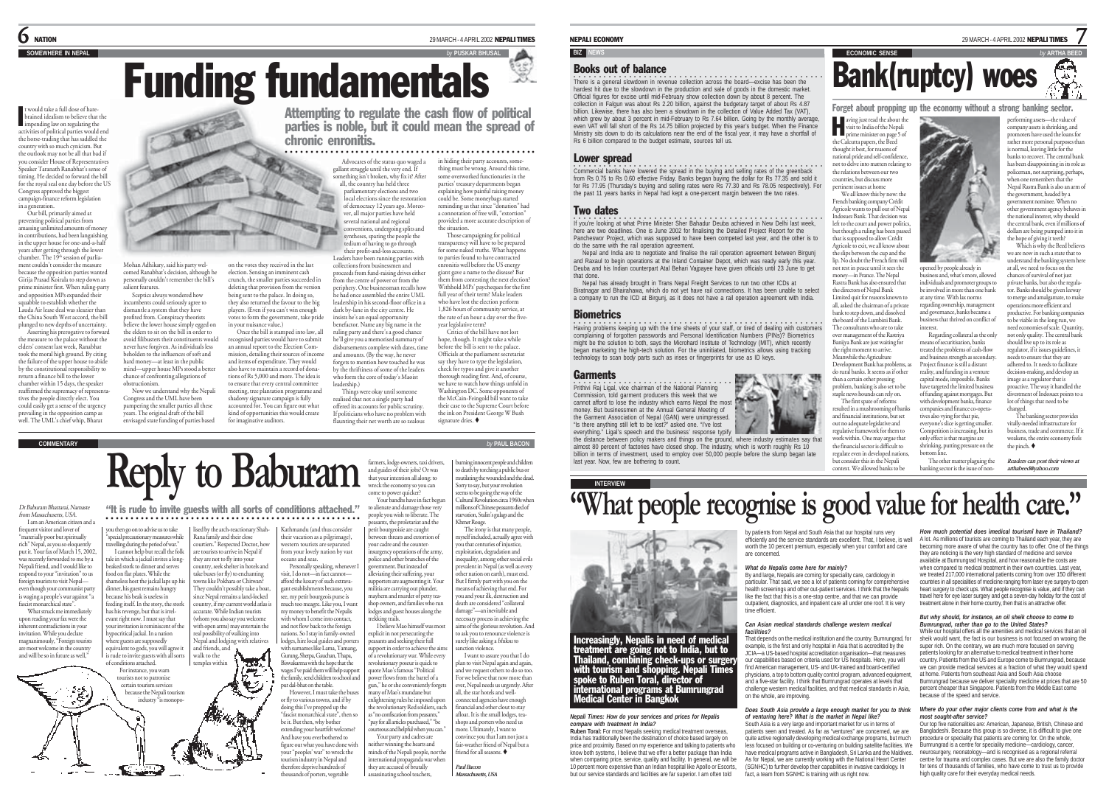t would take a full dose of harebrained idealism to believe that the mpending law on regulating the activities of political parties would end the horse-trading that has saddled the country with so much cynicism. But the outlook may not be all that bad if you consider House of Representatives Speaker Taranath Ranabhat's sense of timing. He decided to forward the bill for the royal seal one day before the US Congress approved the biggest campaign-finance reform legislation in a generation. Our bill, primarily aimed at I

preventing political parties from amassing unlimited amounts of money in contributions, had been languishing in the upper house for one-and-a-half years after getting through the lower<br>chamber. The 19th session of parliament couldn't consider the measure because the opposition parties wanted Girija Prasad Koirala to step down as

prime minister first. When ruling-party and opposition MPs expanded their squabble to establish whether the Lauda Air lease deal was sleazier than the China South West accord, the bill <sup>p</sup>lunged to new depths of uncertainty. Asserting his prerogative to forward the measure to the palace without the elders' consent last week, Ranabhat took the moral high ground. By citing the failure of the upper house to abide by the constitutional responsibility to return a finance bill to the lower

chamber within 15 days, the speaker reaffirmed the supremacy of representatives the people directly elect. You could easily get a sense of the urgency prevailing in the opposition camp as well. The UML's chief whip, Bharat

Dr Baburam Bhattarai, Namaste from Massachusetts, USA. I am an American citizen and a

frequent visitor and lover of "materially poor but spiritually rich" Nepal, as you so eloquently put it. Your fax of March 15, 2002 was recently forwarded to me by a Nepali friend, and I would like to respond to your "invitation" to us foreign tourists to visit Nepal even though your communist party is waging a people's war against "a fascist monarchical state". What struck me immediately

upon reading your fax were the inherent contradictions in your invitation. While you declare magnanimously, "Foreign tourists are most welcome in the country and will be so in future as well." has his revenge, but that is irrelevant right now. I must say that your invitation is reminiscent of the hypocritical jackal. In a nation where guests are supposedly equivalent to gods, you will agree it



you then go on to advise us to take "special precautionary measures while welling during the period of war." I cannot help but recall the folk tale in which a jackal invites a longbeaked stork to dinner and serves food on flat plates. While the shameless host the jackal laps up his dinner, his guest remains hungry because his beak is useless in feeding itself. In the story, the stork

Mohan Adhikary, said his party welcomed Ranabhat's decision, although he personally couldn't remember the bill's

Now we understand why the Nepali Congress and the UML have been pampering the smaller parties all these years. The original draft of the bill envisaged state funding of parties based

salient features. Sceptics always wondered how incumbents could seriously agree to dismantle a system that they have profited from. Conspiracy theorists believe the lower house simply egged on the elders to sit on the bill in order to avoid filibusters their constituents would never have forgiven. As individuals less beholden to the influences of soft and hard money—at least in the public mind—upper house MPs stood a better chance of confronting allegations of obstructionism.

> lised by the arch-reactionary Shah- Rana family and their close courtiers." Respected Doctor, how are tourists to arrive in Nepal if they are not to fly into your country, seek shelter in hotels and take buses (or fly) to enchanting towns like Pokhara or Chitwan? They couldn't possibly take a boat, since Nepal remains a land-locked country, if my current world atlas is accurate. While Indian tourists (whom you also say you welcome with open arms) may entertain the real possibility of walking into Nepal and lodging with relatives and friends, and

> > يتصفي

○○○○○○○○○○○○○○○○○○○○○○○○○○○○○○○○○○○○○○○○○○○○○○○○○○○

"It is rude to invite guests with all sorts of conditions attached."

**Reply to Baburam**

wages I've paid them will help suppo the family, send children to school and put dal-bhat on the table. However, I must take the buse or fly to various towns, and if by doing this I've propped up the "fascist monarchical state", then so be it. But then, why bother extending your heartfelt welcome? And have you ever bothered to figure out what you have done with ur "peoples' war" to wreck the tourism industry in Nepal and therefore deprive hundreds of thousands of porters, vegetable

Funding fundamentals

**SOMEWHERE IN NEPAL** *by* **PUSKAR BHUSAL**

on the votes they received in the last election. Sensing an imminent cash crunch, the smaller parties succeeded in deleting that provision from the version being sent to the palace. In doing so, they also returned the favour to the big <sup>p</sup>layers. (Even if you can't win enough votes to form the government, take pride in your nuisance value.) Once the bill is stamped into law, all recognised parties would have to submit an annual report to the Election Commission, detailing their sources of income and items of expenditure. They would also have to maintain a record of donations of Rs 5,000 and more. The idea is to ensure that every central committee meeting, tree plantation programme and shadowy signature campaign is fully accounted for. You can figure out what kind of opportunities this would create for imaginative auditors.

Attempting to regulate the cash flow of political parties is noble, but it could mean the spread of chronic enronitis.

### ○○○○○○○ ○○○○○○○○○○○○○○○○○○○○○○○○○○○○○○○○○○○○○○○○○○○

Advocates of the status quo waged a in hiding their party accounts, somegallant struggle until the very end. If something isn't broken, why fix it? After all, the country has held three parliamentary elections and two local elections since the restoration of democracy 12 years ago. Moreover, all major parties have held several national and regional conventions, undergoing splits and syntheses, sparing the people the tedium of having to go through their profit-and-loss accounts. thing must be wrong. Around this time some overworked functionaries in the parties' treasury departments began explaining how painful raising money could be. Some moneybags started reminding us that since "donation" had a connotation of free will, "extortion" provided a more accurate description of the situation. Those campaigning for political transparency will have to be prepared

and amounts. (By the way, he never

leadership.)

Leaders have been running parties with collections from businessmen and proceeds from fund-raising drives either from the centre of power or from the periphery. One businessman recalls how he had once assembled the entire UML leadership in his second-floor office in a dark by-lane in the city centre. He insists he's an equal opportunity benefactor. Name any big name in the ruling party and there's a good chance for some naked truths. What happens to parties found to have contracted year legislative term? a registative term:<br>Critics of the bill have not lost

he'll give you a memorised summary of disbursements complete with dates, time forgets to mention how touched he was by the thriftiness of some of the leaders who form the core of today's Maoist hope, though. It might take a while before the bill is sent to the palace. Officials at the parliament secretariat say they have to type the legislation. check for typos and give it another thorough reading first. And, of course, we have to watch how things unfold in

Washington DC. Some opponents of the McCain-Feingold bill want to take the ink on President George W Bush signature dries.

> to death by torching a public bus or mutilating the wounded and the dead. Sorry to say, but your revolution seems to be going the way of the millions of Chinese peasants died of starvation, Stalin's gulags and the

wself included, actually agree with you that centuries of injustice, exploitation, degradation and inequality, among other social evilprevalent in Nepal (as well as every ther nation on earth), must end. But I firmly part with you on the means of achieving that end. For

> damage"—an inevitable and necessary process in achieving the aims of the glorious revolution. And to ask you to renounce violence is

I want to assure you that I do <sup>p</sup>lan to visit Nepal again and again, and we request others to do so too. For we believe that now more than ever, Nepal needs us urgently. After onnected agencies have enough

financial and other clout to stay afloat. It is the small lodges, teashops and porters who need us more. Ultimately, I want to convince you that I am not just a fair-weather friend of Nepal but a

*Paul Bacon*

#### NEPALI ECONOMY 29 MARCH - 4 APRIL 2002 NEPALI TIMES

#### **BIZ** NEWS **EXECUTE ARTHUR BEEDING CONOMIC SENSE**

#### Books out of balance

There is a general slowdown in revenue collection across the board—excise has been the<br>hardest hit due to the slowdown in the production and sale of goods in the domestic market. Official figures for excise until mid-February show collection down by about 8 percent. The collection in Falgun was about Rs 2.20 billion, against the budgetary target of about Rs 4.87 billion. Likewise, there has also been a slowdown in the collection of Value Added Tax (VAT), which. Encwise, there has also been a slowdown in the collection or value Added Tax (VAT), even VAT will fall short of the Rs 14.75 billion projected by this year's budget. When the Finance Ministry sits down to do its calculations near the end of the fiscal year, it may have a shortfall of Rs 6 billion compared to the budget estimate, sources tell us.

#### Lower spread

commercial banks have lowered the spread in the buying and selling rates of the greenback from Rs 0.75 to Rs 0.60 effective Friday. Banks began buying the dollar for Rs 77.35 and sold it for Rs 77.95 (Thursday's buying and selling rates were Rs 77.30 and Rs 78.05 respectively). For the past 11 years banks in Nepal had kept a one-percent margin between the two rates.

#### Two dates

If you're looking at what Prime Minister Sher Bahadur Deuba achieved in New Delhi last week, here are two deadlines. One is June 2002 for finalising the Detailed Project Report for the Pancheswor Project, which was supposed to have been competed last year, and the other is to do the same with the rail operation agreement.

Nepal and India are to negotiate and finalise the rail operation agreement between Birgunj and Raxaul to begin operations at the Inland Container Depot, which was ready early this year. Deuba and his Indian counterpart Atal Behari Vaipayee have given officials until 23 June to get that done.

Nepal has already brought in Trans Nepal Freight Services to run two other ICDs at Biratnagar and Bhairahawa, which do not yet have rail connections. It has been unable to select a company to run the ICD at Birgunj, as it does not have a rail operation agreement with India.

#### **Biometrics**

**In axing problems keeping up with the time sheets of your staff, or tired of dealing with customers** complaining of forgotten passwords and Personal Identification Numbers (PINs)? Biometrics might be the solution to both, says the Microbard Institute of Technology (MIT), which recently began marketing the high-tech solution. For the uninitiated, biometrics allows using tracking technology to scan body parts such as irises or fingerprints for use as ID keys.

#### Garments

**•**<br>Prithivi Raj Ligal, vice chairman of the National Planning<br>Commission, told garment producers this week that we cannot afford to lose the industry which earns Nepal the most money. But businessmen at the Annual General Meeting of the Garment Association of Nepal (GAN) were unimpressed. "Is there anything still left to be lost?" asked one. "I've lost everything." Ligal's speech and the business' response typify

**INTERVIEW** 

*Nepali Times: How do your services and prices for Nepalis*

international programs at Bumrungrad Medical Center in Bangkok

Increasingly, Nepalis in need of medical treatment are going not to India, but to Thailand, combining check-ups or surgery with tourism and shopping. Nepali Times spoke to Ruben Toral, director of

**Ruben Toral:** For most Nepalis seeking medical treatment overseas, India has traditionally been the destination of choice based largely on price and proximity. Based on my experience and talking to patients who know both systems, I believe that we offer a better package than India when comparing price, service, quality and facility. In general, we will be more comparing price, cerned, quality and lucility. In general, no million<br>10 percent more expensive than an Indian hospital like Apollo or Escorts, but our service standards and facilities are far superior. I am often told

*compare with treatment in India?*

the distance between policy makers and things on the ground, where industry estimates say that almost 80 percent of factories have closed shop. The industry, which is worth roughly Rs 10 billion in terms of investment, used to employ over 50,000 people before the slump began late last year. Now, few are bothering to count.

> by patients from Nepal and South Asia that our hospital runs very worth the 10 percent premium, especially when your comfort and care are concerned.

#### *What do Nepalis come here for mainly?*

**By and large, Nepalis are coming for speciality care, cardiology in** particular. That said, we see a lot of patients coming for comprehensive health screenings and other out-patient services. I think that the Nepalis like the fact that this is a one-stop centre, and that we can provide outpatient, diagnostics, and inpatient care all under one roof. It is very time efficient.

#### *Can Asian medical standards challenge western medical facilities?*

That depends on the medical institution and the country. Bumrungrad, for example, is the first and only hospital in Asia that is accredited by the JCIA—a US-based hospital accreditation organisation—that measures our capabilities based on criteria used for US hospitals. Here, you will find American management, US- and UK-trained and board-certified physicians, a top to bottom quality control program, advanced equipment and a five-star facility. I think that Bumrungrad operates at levels that challenge western medical facilities, and that medical standards in Asia, on the whole, are improving.

#### *Does South Asia provide a large enough market for you to think of venturing here? What is the market in Nepal like?* South Asia is a very large and important market for us in terms of

patients seen and treated. As far as "ventures" are concerned, we are quite active regionally developing medical exchange programs, but much less focused on building or co-venturing on building satellite facilities. We have medical programs active in Bangladesh, Sri Lanka and the Maldives. As for Nepal, we are currently working with the National Heart Center (SGNHC) to further develop their capabilities in invasive cardiology. In fact, a team from SGNHC is training with us right now.

Forget about propping up the economy without a strong banking sector. performing assets—the value of company assets is shrinking, and promoters have used the loans for rather more personal purposes than is normal, leaving little for the banks to recover. The central bank has been disappointing in its role as policeman, not surprising, perhaps, when one remembers that the Nepal Rastra Bank is also an arm of the government, headed by a government nominee. When no other government agency behaves in the national interest, why should the central bank, even if millions of dollars are being pumped into it in the hope of giving it teeth?

Which is why the Beed believes we are now in such a state that to

7

్

**COLLEGE** understand the banking system here opened by people already in at all, we need to focus on the business and, what's more, allowed chances of survival of not just individuals and promoter groups to private banks, but also the regulabe involved in more than one bank tor. Banks should be given leeway at any time. With lax norms to merge and amalgamate, to mak regarding ownership, management and governance, banks became a business that thrived on conflict of

interest. Regarding collateral as the only means of securitisation, banks treated the problems of cash-flow and business strength as secondary. Project finance is still a distant reality, and funding in a venture capital mode, impossible. Banks have targeted the limited business of funding against mortgages. But with development banks, finance companies and finance co-operatives also vying for that pie, divestment of Indosuez points to a lot of things that need to be

everyone's slice is getting smaller. Competition is increasing, but its only effect is that margins are shrinking, putting pressure on the bottom line.

The other matter plaguing the banking sector is the issue of non-

operations more efficient and productive. For banking companie to be viable in the long run, we need economies of scale. Quantity not only quality. The central bank should live up to its role as regulator, if it issues guidelines, i needs to ensure that they are adhered to. It needs to facilitate decision-making, and develop an image as a regulator that is proactive. The way it handled the

> changed. The banking sector provide vitally-needed infrastructure for business, trade and commerce. If it weakens, the entire economy feels the pinch.  $\blacklozenge$

*Readers can post their views at arthabeed@yahoo.com*

**"What people recognise is good value for health care."**

aving just read the about the<br>visit to India of the Nepali aving just read the about the<br>visit to India of the Nepali<br>prime minister on page 5 of the Calcutta papers, the Beed the cancuita papers, the been<br>thought it best, for reasons of national pride and self-confidence, national power content. the relations between our two countries, but discuss more pertinent issues at home We all know this by now: the French banking company Crédit Agricole wants to pull out of Nepal Indosuez Bank. That decision was left to the court and power politics, but though a ruling has been passed that is supposed to allow Crédit Agricole to exit, we all know about the slips between the cup and the lip. No doubt the French firm will not rest in peace until it sees the money—in France. The Nepal Rastra Bank has also ensured that the directors of Nepal Bank Limited quit for reasons known to all, asked the chairman of a private bank to step down, and dissolved the board of the Lumbini Bank. The consultants who are to take over management of the Rastriya Banijya Bank are just waiting for the right moment to arrive. Meanwhile the Agriculture Development Bank has problems, as do rural banks. It seems as if other than a certain other pressing problem, banking is also set to be staple news hounds can rely on. The first spate of reforms resulted in a mushrooming of banks and financial institutions, but set out no adequate legislative and regulative framework for them to work within. One may argue that the financial sector is difficult to regulate even in developed nations, but consider this in the Nepali context. We allowed banks to be

Bank(ruptcy) woes

efficiently and the service standards are excellent. That, I believe, is well A lot. As millions of tourists are coming to Thailand each year, they are *How much potential does ìmedical tourismî have in Thailand?* becoming more aware of what the country has to offer. One of the things they are noticing is the very high standard of medicine and service available at Bumrungrad Hospital, and how reasonable the costs are when compared to medical treatment in their own countries. Last year we treated 217,000 international patients coming from over 150 different countries in all specialities of medicine ranging from laser eye surgery to open heart surgery to check ups. What people recognise is value, and if they can travel here for eye laser surgery and get a seven-day holiday for the cost of

#### treatment alone in their home country, then that is an attractive offer. *But why should, for instance, an oil sheik choose to come to Bumrungrad, rather than go to the United States?*

While our hospital offers all the amenities and medical services that an oil sheik would want, the fact is our business is not focused on wooing the super rich. On the contrary, we are much more focused on serving patients looking for an alternative to medical treatment in their home country. Patients from the US and Europe come to Bumrungrad, because we can provide medical services at a fraction of what they would spend at home. Patients from southeast Asia and South Asia choose Bumrungrad because we deliver speciality medicine at prices that are 50 percent cheaper than Singapore. Patients from the Middle East come because of the speed and service.

#### *Where do your other major clients come from and what is the most sought-after service?*

Our top five nationalities are: American, Japanese, British, Chinese and Bangladeshi. Because this group is so diverse, it is difficult to give one procedure or speciality that patients are coming for. On the whole, Bumrungrad is a centre for speciality medicine—cardiology, cancer, neurosurgery, neonatology—and is recognised as a regional referral centre for trauma and complex cases. But we are also the family doctor for tens of thousands of families, who have come to trust us to provide high quality care for their everyday medical needs.

xances acureving usarenul. For<br>ou and your ilk, destruction and

surely like asking a bhiksu to

all, the star hotels and well-

friend for all seasons.

assassinating school teachers, *Massachusetts, USA*

wreck the economy so you can come to power quicker? Your bandhs have in fact begun to alienate and damage those very people you wish to liberate. The ants, the proletariat and the petit bourgeoisie are caught between threats and extortion of your cadre and the counterinsurgency operations of the army, police and other branches of the government. But instead of alleviating their suffering, your supporters are augmenting it. Your militia are carrying out plunder, mayhem and murder of petty teashop owners, and families who run lodges and guest houses along the trekking trails. I believe Mao himself was most explicit in not persecuting the peasants and seeking their full support in order to achieve the aims of a revolutionary war. While every revolutionary poseur is quick to quote Mao's famous "Political power flows from the barrel of a run," he or she conveniently forgets many of Mao's mundane but enlightening rules he imposed upon revolutionary Red soldiers, such as "no confiscation from peasants," sanction violence.

death are considered "collateral

"pay for all articles purchased," "be court an articles purelassed," we Your party and cadres are either winning the hearts and

minds of the Nepali people, nor the international propaganda war when they are accused of brutally



farmers, lodge-owners, taxi drivers, and guides of their jobs? Or was that your intention all along: to burning innocent people and children

**COMMENTARY** *by* **PAUL BACON** Things were okay until someone realised that not a single party had offered its accounts for public scrutiny. If politicians who have no problem with flaunting their net worth are so zealous their case to the Supreme Court before

enronitis well before the US energy <sup>g</sup>iant gave a name to the disease? Bar them from contesting the next election? Withhold MPs' paycheques for the first full year of their term? Make leaders who have lost the election perform 1,826 hours of community service, at the rate of an hour a day over the five-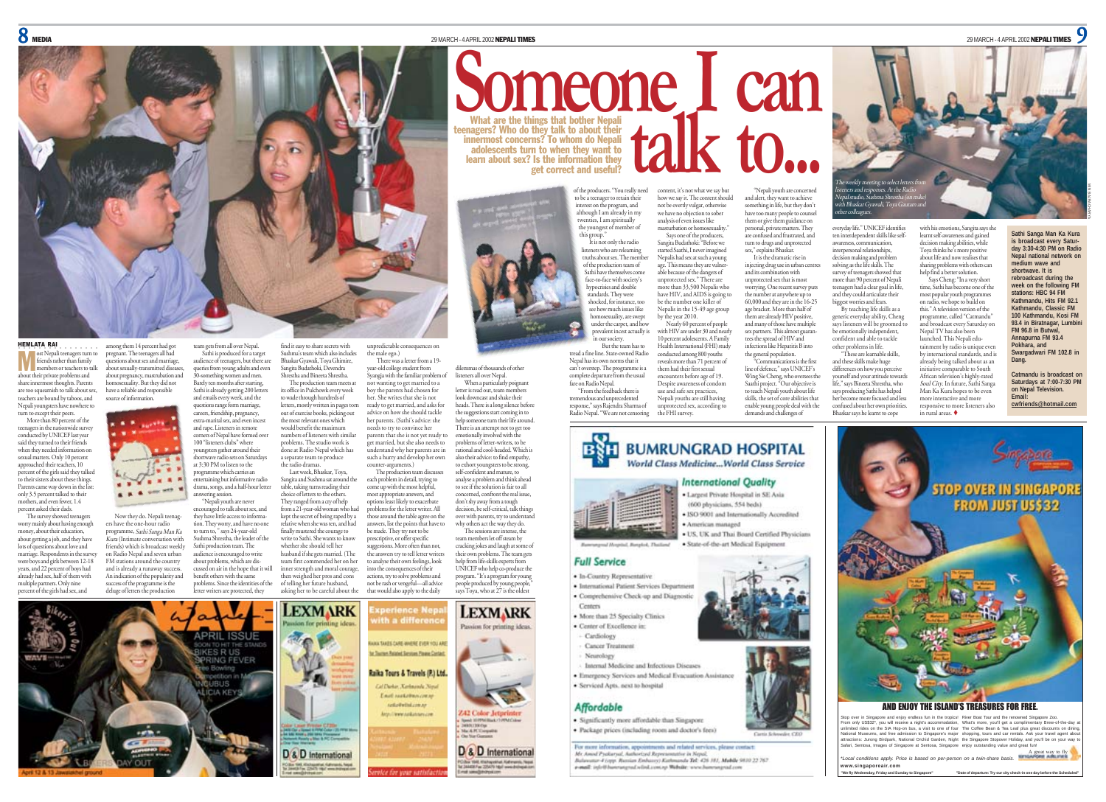What are the things that bother Nepali teenagers? Who do they talk to about their innermost concerns? To whom do Nepali adolescents turn to when they want to learn about sex? Is the information they

get correct and useful?

 $8$  Media 29 MARCH - 4 APRIL 2002 **NEPALI TIMES** 29 MARCH - 4 APRIL 2002 **NEPALI TIMES** 29 MARCH - 4 APRIL 2002 **NEPALI TIMES** 



HEMLATA RAI ost Nepali teenagers turn to<br>friends rather than family members or teachers to talk about their private problems and share innermost thoughts. Parents are too squeamish to talk about sex, teachers are bound by taboos, and Nepali youngsters have nowhere to M

turn to except their peers. More than 80 percent of the teenagers in the nationwide survey conducted by UNICEF last year said they turned to their friends when they needed information on sexual matters. Only 10 percent approached their teachers, 10 .<br>pent of the girls said they talked to their sisters about these things. Parents came way down in the list only 3.5 percent talked to their mothers, and even fewer, 1.4 percent asked their dads.

The survey showed teenager worry mainly about having enough money, about their education. about getting a job, and they have lots of questions about love and marriage. Respondents in the surve were boys and girls between 12-18 years, and 22 percent of boys had already had sex, half of them with multiple partners. Only nine percent of the girls had sex, and  $K_{\text{um}}$  (Intimate conv

among them 14 percent had got pregnant. The teenagers all had questions about sex and marriage, about sexually-transmitted diseases, about pregnancy, mastrubation and homosexuality. But they did not have a reliable and responsible source of information.

 $\blacksquare$ 

questions range form marriage, careers, friendship, pregnancy, extra-marital sex, and even incest and rape. Listeners in remote corners of Nepal have formed over 100 "listeners clubs" where youngsters gather around their shortwave radio sets on Saturdays at 3:30 PM to listen to the programme which carries an answering session.

Now they do. Nepali teenagers have the one-hour radio programme, *Sathi Sanga Man Ka*<br>un (Intimate conversation with friends) which is broadcast weekly on Radio Nepal and seven urban FM stations around the country and is already a runaway success. An indication of the popularity and success of the programme is the deluge of letters the production they have little access to informaletter writers are protected, they

n gets from all over Nepal. Sathi is produced for a target audience of teenagers, but there are queries from young adults and even 30-something women and men. Barely ten months after starting, Sathi is already getting 200 letters and emails every week, and the numbers of listeners with similar problems. The studio work is

entertaining but informative radio drama, songs, and a half-hour letter "Nepali youth are never encouraged to talk about sex, and

tion. They worry, and have no one to turn to, " says 24-year-old Sushma Shrestha, the leader of the Sathi production team. The production team. The about problems, which are dissed on air in the hope that it will benefit others with the same problems. Since the identities of the

find it easy to share secrets with Sushma's team which also includes Bhaskar Gyawali, Toya Ghimire, Sangita Budathoki, Devendra Shrestha and Bineeta Shrestha. The production team meets at its office in Pulchowk every week to wade through hundreds of letters, mostly written in pages torn out of exercise books, picking out the most relevant ones which would benefit the maximum

done at Radio Nepal which has a separate team to produce the radio dramas. Last week, Bhaskar, Toya, Sangita and Sushma sat around the table, taking turns reading their choice of letters to the others. They ranged from a cry of help from a 21-year-old woman who had

kept the secret of being raped by a relative when she was ten, and had finally mustered the courage to write to Sathi. She wants to know whether she should tell her husband if she gets married. (The then weighed her pros and cons of telling her future husband,

counter-arguments.)

team first commended her on her inner strength and moral courage, asking her to be careful about the to analyse their own feelings, look into the consequences of their actions, try to solve problems and not be rash or vengeful—all advice that would also apply to the daily



of the producers. "You really need to be a teenager to retain their interest on the program, and although I am already in my twenties, I am spiritually the youngest of member of this group." It is not only the radio content, it's not what we say but how we say it. The content should not be overtly vulgar, otherwise we have no objection to sober analysis of even issues like masturbation or homosexuality

**Someone 1 can** 

listeners who are relearning truths about sex. The member of the production team of Sathi have themselves come face-to-face with society's hypocrisies and double standards. They were shocked, for instance, too see how much issues like homosexuality, are swept under the carpet, and how prevalent incest actually is Sangita Budathoki: "Before we started Saathi, I never imagined Nepalis had sex at such a young age. This means they are vulner able because of the dangers of unprotected sex." There are more than 33,500 Nepalis who have HIV, and AIDS is going to be the number one killer of Nepalis in the 15-49 age group by the year 2010. Nearly 60 percent of people with HIV are under 30 and nearly

Says one of the producers,

in our society. But the team has to tread a fine line. State-owned Radio Nepal has its own norms that it can't overstep. The programme is a complete departure from the usual fare on Radio Nepal. "From the feedback there is 10 percent adolescents. A Family Health International (FHI) study conducted among 800 youths reveals more than 71 percent of them had their first sexual encounters before age of 19. Despite awareness of condom use and safe sex practices,

tremendous and unprecedented response," says Rajendra Sharma of Radio Nepal. "We are not censoring Nepali youths are still having unprotected sex, according to the FHI survey.



**International Ouality** · Largest Private Hospital in SE Asia (600 physicians, 554 beds) . ISO 9001 and Internationally According

American managed · US, UK and Thai Board Certified Physicians

· State-of-the-art Medical Equipment

#### **Full Service**

· In-Country Representative · International Patient Services Department

- · Comprehensive Check-up and Diagnostic
- Centery · More than 25 Specialty Clinics
- · Conter of Excellence in:
- Cardiology Cancer Treatment
- Neurology
- Internal Medicine and Infectious Diseases

Emergency Services and Medical Evacuation Assistance · Serviced Apts, next to hospital

### **Affordable**

· Significantly more affordable than Singapore · Package prices (including room and doctor's fees)

For more information, appointments and related services, please contact Mr. Amod Pyaliaryal, Authorized Representative in Nepal,<br>Balawatar-Féopp. Russian Embassy) Kathmanda Tel: 426 381, Mubile 9830 22 767 e-mail: info@bancrangreal.wiind.com.np Website: www.bancrangreal.com

"Nepali youth are concerned and alert, they want to achieve and alcit, they want to active to<br>something in life, but they don't have too many people to counsel them or give them guidance on personal, private matters. They are confused and frustrated, and turn to drugs and unprotected everyday life." UNICEF identifies ten interdependent skills like selfawareness, communication, The weekly meeting to select letters from listeners and responses. At the Radio Nepal studio, Sushma Shrestha (on mike) with Bhaskar Gyawali, Toya Gautam and

other colleagues.

sex," explains Bhaskar It is the dramatic rise in injecting drug use in urban centre and its combination with unprotected sex that is most worrying. One recent survey puts the number at anywhere up to 60,000 and they are in the 16-25 age bracket. More than half of them are already HIV positive, and many of those have multiple sex partners. This almost guarantees the spread of HIV and infections like Hepatitis B into the general population. "Communications is the first interpersonal relationships decision making and problem solving as the life skills. The survey of teenagers showed that more than 90 percent of Nepali teenagers had a clear goal in life, and they could articulate their biggest worries and fears. By teaching life skills as a generic everyday ability, Cheng says listeners will be groomed to be emotionally independent, confident and able to tackle other problems in life. "These are learnable skills, and these skills make huge

line of defence," says UNICEF's Wing Sie Cheng, who oversees the Saathi project. "Our objective is to teach Nepali youth about life skills, the set of core abilities that enable young people deal with the demands and challenges of differences on how you perceive yourself and your attitude towards life," says Bineeta Shrestha, who says producing Sathi has helped her become more focused and less confused about her own priorities. Bhaskar says he learnt to cope

with his emotions, Sangita says she learnt self-awareness and gained decision making abilities, while Toya thinks he's more positive about life and now realises that sharing problems with others can help find a better solution. Says Cheng: "In a very short time, Sathi has become one of the most popular youth programmes on radio, we hope to build on this." A television version of the programme, called "Catmandu" and broadcast every Saturday on Nepal TV has also been launched. This Nepali edu-

in rural areas.

tainment by radio is unique even by international standards, and is already being talked about as an initiative comparable to South African television's highly-rated Soul City. In future, Sathi Sanga Man Ka Kura hopes to be even more interactive and more responsive to more listeners also

**medium wave and shortwave. It is rebroadcast during the week on the following FM stations: HBC 94 FM Kathmandu, Hits FM 92.1 Kathmandu, Classic FM 100 Kathmandu, Kosi FM** 93.4 in Biratnagar, Lumbi **FM 96.8 in Butwal, Annapurna FM 93.4 Pokhara, and Swargadwari FM 102.8 in Dang. Catmandu is broadcast on Saturdays at 7:00-7:30 PM**

**Sathi Sanga Man Ka Kura is broadcast every Saturday 3:30-4:30 PM on Radio Nepal national network on** MIN BAJRACHARYA

**on Nepal Television. Email: cwfriends@hotmail.com**



Stop over in Singapore and enjoy endless fun in the tropics! River Boat Tour and the renowned Singapore Zoo. From only US\$32\*, you will receive a night's accommodation,<br>unlimited rides on the SIM Hop-on bus, a visit to one of four<br>National Museums, and free admission to Singapore's major<br>attractions: Jurong Birdpark, National Orc What's more, you'll get a complimentary Brew-of-the-day all<br>The Coffee Bean & Tea Leaf plus great discounts on dining<br>shopping, tours and car rentals. Ask your travel agent about<br>the Singapore Stopover Holiday, and you'll

A great way to fly *\*Local conditions apply. Price is based on per-person on a twin-share basis.* **www.singaporeair.com**

**"We fly Wednesday, Friday and Sunday to Singapore" "Date of departure: Try our city check-in one day before the Scheduled"**



ar-old college student from Syangja with the familiar problem of not wanting to get married to a boy the parents had chosen for her. She writes that she is not ready to get married, and asks for advice on how she should tackle her parents. (Sathi's advice: she needs to try to convince her parents that she is not yet ready to get married, but she also needs to understand why her parents are in such a hurry and develop her own heads. There is a long silence before problems of letter-writers, to be

unpredictable consequences on the male ego.) There was a letter from a 19-

The production team discusses each problem in detail, trying to come up with the most helpful, most appropriate answers, and options least likely to exacerbate problems for the letter writer. All those around the table agree on the answers, list the points that have to be made. They try not to be prescriptive, or offer specific suggestions. More often than not, the answers try to tell letter writers rational and cool-headed. Which is also their advice: to find empathy, to exhort youngsters to be strong, self-confident and mature, to analyse a problem and think ahead to see if the solution is fair to all concerned, confront the real issue, don't shy away from a tough

decision, be self-critical, talk things

team members let off steam by cracking jokes and laugh at some of their own problems. The team gets help from life-skills experts from UNICEF who help co-produce the program. "It's a program for young people produced by young people,"

dilemmas of thousands of other listeners all over Nepal. When a particularly poignant letter is read out, team members look downcast and shake their

the suggestions start coming in to help someone turn their life around. There is an attempt not to get too emotionally involved with the

over with parents, try to understand why others act the way they do. The sessions are intense, the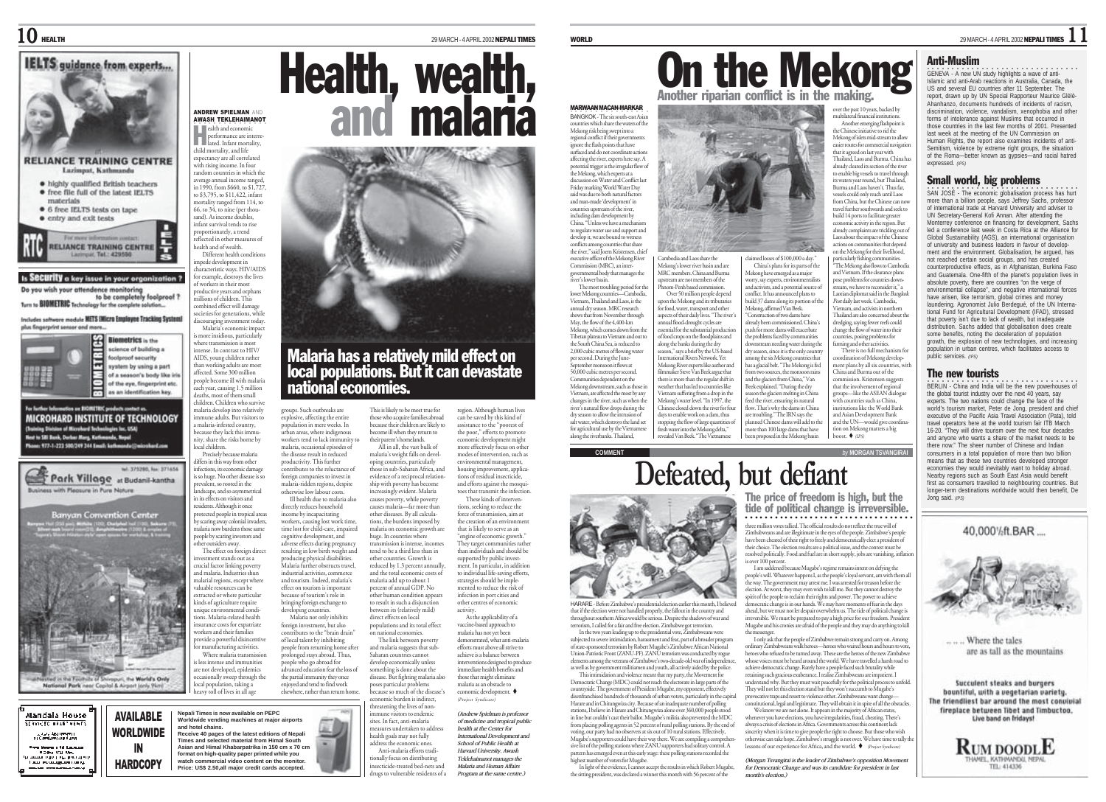### $10$  Health  $^{\text{29MARCH - 4 APRL 2002}$  Nerally times



Is SECUTILY a key issue in your organization ? Do you wish your attendence monitoring<br>to be completely foolproof?

Turn to BIOMETRIC Technology for the complete solution...

Includes softwore module METS (Micro Employee Tracking System) plus fingerprint sensor and more...



or further leformation on BIOMETRIC products contact us MICROHARD INSTITUTE OF TECHNOLOGY (Training Division of Microbard Technologies Ioc. USA)<br>Next to SRI Bank, Dorbar Mary, Kathmandu, Nepal um: 977-1-223 500/249 244 Email: kathmander



Mandala House SERVICED IPARTMENTS .<br>21 Comforts of Assembly .<br>Tres Messes a Td. Lauren.<br>T. D. Par. 1541, New - Police Tal West<br>- Anne Police Tal Principes<br>- Language Company<br>- Anne Police Company Compa



ANDREW SPIELMAN AND AWASH TEKLEHAIMANOT ○○○○○○○○○○○○○○○ ealth and economic **performance are interre-**<br> **lated** Infant mortality,

child mortality, and life expectancy are all correlated with rising income. In four random countries in which the average annual income ranged, in 1990, from \$660, to \$1,727, to \$3,795, to \$11,422, infant nortality ranged from 114 to 66, to 34, to nine (per thousand). As income doubles, infant survival tends to rise proportionately, a trend reflected in other measures of health and of wealth. Different health conditions

pede development in r<br>aracteristic ways. HIV/AIDS for example, destroys the lives of workers in their most pductive years and orphans millions of children. This combined effect will damage societies for generations, while

discouraging investment today. Malaria's economic impact is more insidious, particularly where transmission is most intense. In contrast to HIV/ AIDS, young children rather than working adults are most affected. Some 300 million people become ill with malaria each year, causing 1.5 million deaths, most of them small children. Children who survive malaria develop into relatively

immune adults. But visitors to a malaria-infested country, because they lack this immunity, share the risks borne by local children. Precisely because malaria

differs in this way from other infections, its economic damage is so huge. No other disease is so prevalent, so rooted in the landscape, and so asymmetrical in its effects on visitors and residents. Although it once protected people in tropical areas

by scaring away colonial invaders, malaria now burdens those same people by scaring investors and other outsiders away. The effect on foreign direct restment stands out as a crucial factor linking poverty and malaria. Industries shun malarial regions, except where valuable resources can be extracted or where particular kinds of agriculture require

unique environmental conditions. Malaria-related health nsurance costs for expatriate workers and their families provide a powerful disincentive manufacturing activities. Where malaria transmission is less intense and immunities are not developed, epidemics

occasionally sweep through the local population, taking a heavy toll of lives in all age

**and hotel chains.**







## Malaria has a relatively mild effect on local populations. But it can devastate national economies.

their parent's homelands. All in all, the vast bulk of

causes malaria—far more than other diseases. By all calculations, the burdens imposed by malaria on economic growth are huge. In countries where .<br>Ismission is intense, income tend to be a third less than in other countries. Growth is reduced by 1.3 percent annually, and the total economic costs of malaria add up to about 1 percent of annual GDP. No other human condition appears to result in such a disjunction between its (relatively mild) direct effects on local populations and its total effect on national economies.

groups. Such outbreaks are explosive, affecting the entire population in mere weeks. In urban areas, where indigenous workers tend to lack immunity to malaria, occasional episodes of the disease result in reduced productivity. This further contributes to the reluctance of foreign companies to invest in malaria-ridden regions, despite otherwise low labour costs. This is likely to be most true for those who acquire families abroad because their children are likely to become ill when they return to malaria's weight falls on developing countries, particularly those in sub-Saharan Africa, and evidence of a reciprocal relationship with poverty has become increasingly evident. Malaria causes poverty, while poverty

Ill health due to malaria also directly reduces household income by incapacitating workers, causing lost work time, time lost for child-care, impaired cognitive development, and adverse effects during pregnancy resulting in low birth weight and producing physical disabilities. Malaria further obstructs travel, industrial activities, commerce and tourism. Indeed, malaria's effect on tourism is important

because of tourism's role in bringing foreign exchange to developing countries. Malaria not only inhibits foreign investment, but also contributes to the "brain drain" of local talent by inhibiting people from returning home after prolonged stays abroad. Thus,

people who go abroad for advanced education fear the loss of the partial immunity they once enjoyed and tend to find work elsewhere, rather than return home.

because so much of the disease' economic burden is indirect, threatening the lives of nonimmune visitors to endemic sites. In fact, anti-malaria measures undertaken to address health goals may not fully address the economic ones. Anti-malaria efforts tradionally focus on distributing

The link between poverty and malaria suggests that sub-Saharan countries cannot develop economically unless something is done about the disease. But fighting malaria also poses particular problems efforts must above all strive to achieve is a balance between interventions designed to produce immediate health benefits and those that might eliminate malaria as an obstacle to economic development. (Project Syndicate) *(Andrew Spielman is professor of medicine and tropical public health at the Center for*

insecticide-treated bed-nets and drugs to vulnerable residents of a *International Development and School of Public Health at Harvard University. Awash Teklehaimanot manages the Malaria and Human Affairs Program at the same centre.)*

region. Although human lives can be saved by this kind of assistance to the "poorest of the poor," efforts to promote economic development might more effectively focus on other modes of intervention, such as environmental management, housing improvement, applica-tions of residual insecticide, and efforts against the mosquitoes that transmit the infection. These kinds of interventions, seeking to reduce the force of transmission, aim at the creation of an environment that is likely to serve as an "engine of economic growth." They target communities rather than individuals and should be supported by public investment. In particular, in addition to individual life-saving efforts, strategies should be implemented to reduce the risk of infection in port cities and other centres of economic activity. As the applicability of a vaccine-based approach to malaria has not yet been demonstrated, what anti-malaria



over the past 10 years, backed by

Mekong have emerged as a major orry, say experts, environmental

"Construction of two dams have

the problems faced by communiti

.<br>nong the six Mekong o

multilateral financial institutions. Another emerging flashpoint is the Chinese initiative to rid the Mekong of islets mid-stream to allow easier routes for commercial navigati that it agreed on last year with Thailand, Laos and Burma. China has already cleared its section of the river to enable big vessels to travel through its waters year round, but Thailand,

claimed losses of \$100,000 a day." China's plans for its parts of the and activists, and a potential source of conflict. It has announced plans to build 37 dams along its portion of the Mekong, affirmed Van Beek. already been commissioned. China's push for more dams will exacerbate wnstream needing water during the Burma and Laos haven't. Thus far, vessels could only reach until Laos from China, but the Chinese can no travel further southwards and seek to build 14 ports to facilitate greater economic activity in the region. But already complaints are trickling out of Laos about the impact of the Chinese actions on communities that depend on the Mekong for their livelihood, particularly fishing communities. "The Mekong also flows to Cambodia and Vietnam. If the clearance plans pose problems for countries down stream, we have to reconsider it," a Licarii, we nave to reconsider it, a<br>aotian diplomat said in the Bangko Post daily last week. Cambodia Vietnam, and activists in northern Thailand are also concerned about the dredging, saying fewer reefs could change the flow of water into their intries, posing problems for ming and other activities. There is no full mechanism for

dry season, since it is the only count<br>among the six Mekong countries that has a glacial belt. "The Mekong is fed ordination of Mekong development plans by all six co China and Burma out of the

season the glaciers melting in China eed the river, ensuring its natural flow. That's why the dams in China are troubling." The IRN says the planned Chinese dams will add to the more than 100 large dams that have

**COMMENT** *by* **MORGAN TSVANGIRAI** from two sources, the monsor and the glaciers from China," Van Beek explained. "During the dry more man 100 targe mans man nave<br>been proposed in the Mekong basin  $\frac{\text{const}}{\text{const}}$   $\bullet$  (IPS)

ahead, but we must not let despair overwhelm us. The tide of political change is irreversible. We must be prepared to pay a high price for our freedom. President Mugabe and his cronies are afraid of the people and they may do anything to kill the messenger. I only ask that the people of Zimbabwe remain strong and carry on. Among ordinary Zimbabweans walk heroes—heroes who waited hours and hours to vo heroes who refused to be turned away. These are the heroes of the new Zimbabwe whose voices must be heard around the world. We have travelled a harsh road to achieve democratic change. Rarely have a people faced such brutality while retaining such gracious exuberance. I realise Zimbabweans are impatient. I understand why. But they must wait peacefully for the political process to unfold. They will not let this election stand but they won't succumb to Mugabe's provocative traps and resort to violence either. Zimbabweans want change— constitutional, legal and legitimate. They will obtain it in spite of all the obstacles. We know we are not alone. It appears in the majority of African states, whenever you have elections, you have irregularities, fraud, cheating. There's always a crisis of elections in Africa. Governments across this continent lack sincerity when it is time to give people the right to choose. But those who wish otherwise can take hope. Zimbabwe's struggle is not over. We have time to tally the lessons of our experience for Africa, and the world.  $\bullet$  Project Syndicate) *(Morgan Tsvangirai is the leader of Zimbabwe's opposition Movement for Democratic Change and was its candidate for president in last*

*month's election.)*

expressed. *(IPS)* SAN JOSÉ - The economic globalisation process has hurt

more than a billion people, says Jeffrey Sachs, professor of international trade at Harvard University and adviser to UN Secretary-General Kofi Annan. After attending the Monterrey conference on financing for development, Sachs led a conference last week in Costa Rica at the Alliance for Global Sustainability (AGS), an international organisation of university and business leaders in favour of development and the environment. Globalisation, he argued, has not reached certain social groups, and has created counterproductive effects, as in Afghanistan, Burkina Faso and Guatemala. One-fifth of the planet's population lives in absolute poverty, there are countries "on the verge of environmental collapse", and negative international forces have arisen, like terrorism, global crimes and money laundering. Agronomist Julio Berdegué, of the UN International Fund for Agricultural Development (IFAD), stressed that poverty isn't due to lack of wealth, but inadequate distribution. Sachs added that globalisation does create some benefits, noting the deceleration of population growth, the explosion of new technologies, and increasing population in urban centres, which facilitates access to public services. *(IPS)*

#### The new tourists

○○○○ ○○○○○○○○○○○○○○○○○○○○○○○○○○○ BERLIN - China and India will be the new powerhouses of the global tourist industry over the next 40 years, say experts. The two nations could change the face of the world's tourism market, Peter de Jong, president and chief executive of the Pacific Asia Travel Association (Pata), told travel operators here at the world tourism fair ITB March 16-20. "They will drive tourism over the next four decades and anyone who wants a share of the market needs there now." The sheer number of Chinese and Indian consumers in a total population of more than two billion means that as these two countries developed stronger economies they would inevitably want to holiday abroad. Nearby regions such as South East Asia would benefit first as consumers travelled to neighbouring countries. But longer-term destinations worldwide would then benefit, De Jong said. *(IPS)*

that if the election were not handled properly, the fallout in the country and throughout southern Africa would be serious. Despite the shadows of war and terrorism, I called for a fair and free election. Zimbabwe got terrorism.

In the two years leading up to the presidential vote, Zimbabweans were subjected to severe intimidation, harassment and fear, part of a broader program of state-sponsored terrorism by Robert Mugabe's Zimbabwe African National Union-Patriotic Front (ZANU-PF). ZANU terrorism was conducted by rogue elements among the veterans of Zimbabwe's two-decade-old war of independence, as well as by government militiamen and youth, all actively aided by the police.

This intimidation and violence meant that my party, the Movement for Democratic Change (MDC) could not reach the electorate in large parts of the countryside. The government of President Mugabe, my opponent, effectively disenfranchised hundreds of thousands of urban voters, particularly in the capital Harare and in Chitungwiza city. Because of an inadequate number of polling stations, I believe in Harare and Chitungwiza alone over 360,000 pe in line but couldn't cast their ballot. Mugabe's militia also prevented the MDC from placing polling agents in 52 percent of rural polling stations. By the end of voting, our party had no observers at six out of 10 rural stations. Effectively, Mugabe's supporters could have their way there. We are compiling a comprehensive list of the polling stations where ZANU supporters had solitary control. A pattern has emerged even at this early stage: these polling stations recorded the highest number of voters for Mugabe.

In light of the evidence, I cannot accept the results in which Robert Mugabe, the sitting president, was declared a winner this month with 56 percent of the

40.000%ft.BAR



Where the tales are as tall as the mountains

Succulent steaks and burgers bountiful, with a vegetarian variety, The friendliest bar around the most convivial fireplace between Tibet and Timbuctoo. Live band on fridays!

**RUM DOODLE** 



Cambodia and Laos share the Mekong's lower river basin and are MRC members. China and Burma upstream are not members of the Phnom-Penh based commission. Over 50 million people depend on the Mekong and its tributaries for food, water, transport and other or rood, water, dansport and other<br>ispects of their daily lives. "The rive annual flood-drought cycles are ssential for the substantial produc of food crops on the floodplains and along the banks during the dry season," says a brief by the US-based on, any a biter by the Co bat.<br>Imational Rivers Network. Yet Mekong River experts like author and filmmaker Steve Van Beek argue that

MARWAAN MACAN-MARKAR **BANGKOK - The six south-east Asian** countries which share the waters of the Mekong risk being swept into a regional conflict if their governments ignore the flash points that have surfaced and do not coordinate action affecting the river, experts here say. A anceuing ure river, experts nere say. A<br>potential trigger is the irregular flow of the Mekong, which experts at a discussion on Water and Conflict last Friday marking World Water Day said was due to both natural factors and man-made 'development' in countries upstream of the river, including dam development by China. "Unless we have a mechanis to regulate water use and support and develop it, we are bound to witness conflicts among countries that share the river," said Joern Kristensen, chief executive officer of the Mekong River Commission (MRC), an intergovernmental body that manages the river's lower basin. The most troubling period for the lower Mekong countries—Cambodia, Vietnam, Thailand and Laos, is the annual dry season. MRC research annua ury season: ivirce research<br>shows that from November through May, the flow of the 4,400-km Mekong, which comes down from the Tibetan plateau to Vietnam and out to the South China Sea, is reduced to 2,000 cubic metres of flowing water per second. During the June-September monsoon it flows at 50,000 cubic metres per second.

#### Anti-Muslim

○○○○ ○○○○○○○○○○○○○○○○○○○○○○○○○○○ GENEVA - A new UN study highlights a wave of anti-Islamic and anti-Arab reactions in Australia, Canada, the US and several EU countries after 11 September. The report, drawn up by UN Special Rapporteur Maurice Glèlè-Ahanhanzo, documents hundreds of incidents of racism, discrimination, violence, vandalism, xenophobia and other forms of intolerance against Muslims that occurred in those countries in the last few months of 2001. Presented last week at the meeting of the UN Commission on Human Rights, the report also examines incidents of anti-Semitism, violence by extreme right groups, the situation of the Roma—better known as gypsies—and racial hatred

Small world, big problems

ommission. Kristensen sugges that the involvement of regional muns—like the ASEAN dialogue with countries such as China, institutions like the World Bank msututions like the world ban<br>and Asian Development Bank and the UN—would give coordin tion on Mekong matters a big

**Defeated, but defiant** Communities dependent on the Mekong downstream, such as those in Vietnam, are affected the most by any changes in the river, such as when the river's natural flow drops during the dry season to allow the intrusion of salt water, which destroys the land set for agricultural use by the Vietnames along the riverbanks. Thailand, there is more than the regular shift in weather that has led to countries like Vietnam suffering from a drop in the Mekong's water level. "In 1997, the Chinese closed down the river for four days to enable work on a dam, thus stopping the flow of large quantities of fresh water into the Mekong delta," revealed Van Beek. "The Vietnamese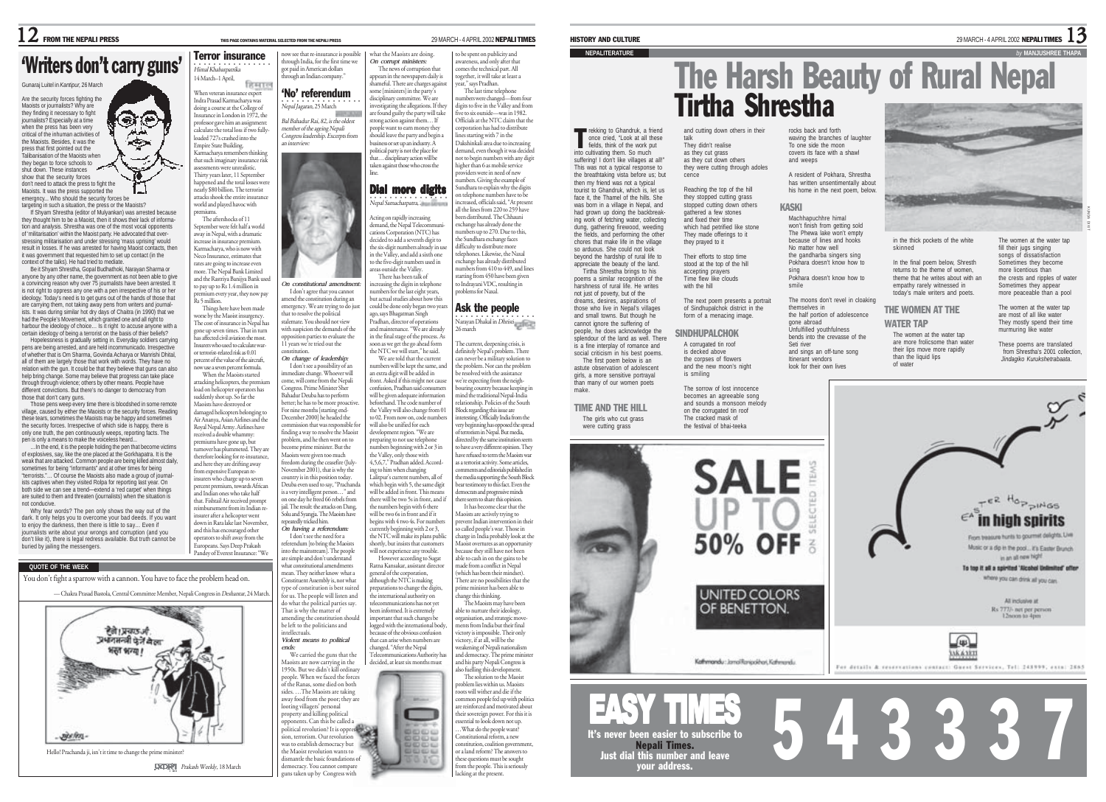# Writers don't carry guns' Western insurance is powser that re-insurance is possible what the Maoists are doing.<br>
Correction of the mark of corrupt ministers: The news of corruption that a correction that a correction that

#### Gunaraj Luitel in *Kantipur,* 26 March

Are the security forces fighting the Maoists or journalists? Why are they finding it necessary to fight journalists? Especially at a time when the press has been very critical of the inhuman activities of the Maoists. Besides, it was the press that first pointed out the Talibanisation of the Maoists when they began to force schools to shut down. These instances show that the security forces don't need to attack the press to fight the Maoists. It was the press supported the

emergncy... Who should the security forces be targeting in such a situation, the press or the Maoists? If Shyam Shrestha (editor of Mulyankan) was arrested because

they thought him to be a Maoist, then it shows their lack of information and analysis. Shrestha was one of the most vocal opponents of 'militarisation' within the Maoist party. He advocated that overstressing militarisation and under stressing 'mass uprising' would result in losses. If he was arrested for having Maoist contacts, then it was government that requested him to set up contact (in the context of the talks). He had tried to mediate.

Be it Shyam Shrestha, Gopal Budhathoki, Narayan Sharma or anyone by any other name, the government as not been able to give anyone by any other name, the government as not been arrested. It is not right to oppress any one with a pen irrespective of his or her ideology. Today's need is to get guns out of the hands of those that are carrying them, not taking away pens from writers and journalists. It was during similar hot dry days of Chaitra (in 1990) that we had the People's Movement, which granted one and all right to harbour the ideology of choice... Is it right to accuse anyone with a certain ideology of being a terrorist on the basis of thier beliefs?

Hopelessness is gradually setting in. Everyday soldiers carrying pens are being arrested, and are held incommunicado. Irrespective of whether that is Om Sharma, Govinda Acharya or Manrishi Dhital, all of them are largely those that work with words. They have no relation with the gun. It could be that they believe that guns can also help bring change. Some may believe that progress can take place through through violence; others by other means. People have different convictions. But there's no danger to democracy from

those that don't carry guns. Those pens weep every time there is bloodshed in some remote village, caused by either the Maoists or the security forces. Reading these tears, sometimes the Maoists may be happy and sometimes the security forces. Irrespective of which side is happy, there is only one truth, the pen continuously weeps, reporting facts. The pen is only a means to make the voiceless heard...

…In the end, it is the people holding the pen that become victims of explosives, say, like the one placed at the Gorkhapatra. It is the weak that are attacked. Common people are being killed almost daily, sometimes for being "informants" and at other times for being "terrorists."… Of course the Maoists also made a group of journalists captives when they visited Rolpa for reporting last year. On both side we can see a trend—extend a 'red carpet' when things are suited to them and threaten (journalists) when the situation not conducive. Why fear words? The pen only shows the way out of the

dark. It only helps you to overcome your bad deeds. If you want to enjoy the darkness, then there is little to say… Even if journalists write about your wrongs and corruption (and you don't like it), there is legal redress available. But truth cannot be buried by jailing the messengers.

**QUOTE OF THE WEEK**

You don't fight a sparrow with a cannon. You have to face the problem head on.



○○○○○○ ○○○○○○○○○○ Himal Khabarpatrika 14 March–1 April, When veteran insurance expert Indra Prasad Karmacharya was got paid in American dollars ough an Indian company. •<br>*Nepal Jagaran,* 25 March 'No' referendum Bal Bahadur Rai, 82, is the oldest member of the ageing Nepali Congress leadership. Excerpts from an interview:

now see that re-insurance is possible v see that te-msulance is possion<br>ough India, for the first time we

*On constitutional amendment:* I don't agree that you cannot amend the constitution during an emergency. We are trying to do just that to resolve the political stalemate. You should not view with suspicion the demands of the opposition parties to evaluate the 11 years we're tried out the constitution. *On change of leadership:* I don't see a possibility of an nmediate change. Whoever will come, will come from the Nepali Congress. Prime Minister Sher Bahadur Deuba has to perform better; he has to be more proactive. For nine months [starting end-December 2000] he headed the commission that was responsible fo finding a way to resolve the Maoist problem, and he then went on to become prime minister. But the Maoists were given too much freedom during the ceasefire (July-November 2001), that is why the country is in this position today. Deuba even used to say, "Prachanda is a very intelligent person…" and on one day he freed 66 rebels from iail. The result: the attacks on Dang .<br>Solu and Syangia. The Maoists hav repeatedly tricked him. *On having a referendum:* I don't see the need for a referendum [to bring the Maoists into the mainstream]. The people

doing a course at the College of Insurance in London in 1972, the professor gave him an assignment: calculate the total loss if two fullyloaded 727s crashed into the Empire State Building. Karmacharya remembers thinking that such imaginary insurance risk assessments were unrealistic. Thirty years later, 11 September happened and the total losses were nearly \$80 billion. The terrorist attacks shook the entire insurance

world and played havoc with premiums. The aftershocks of 11 September were felt half a world away in Nepal, with a dramatic increase in insurance premium. Karmacharya, who is now with ne Insurance, estimates that rates are going to increase even more. The Nepal Bank Limited and the Rastriya Banijya Bank used

Terror insurance

to pay up to Rs 1.4 million in premium every year, they now not Rs 5 million. Things here have been made worse by the Maoist insurgency. The cost of insurance in Nepal has gone up seven times. That in turn has affected civil aviation the most.

Insurers who used to calculate waror terrorist-related risk as 0.01 percent of the value of the aircraft, now use a seven percent formula. When the Maoists started

attacking helicopters, the premium load on helicopter operators has suddenly shot up. So far the Maoists have destroyed or damaged helicopters belonging to Air Ananya, Asian Airlines and the Royal Nepal Army. Airlines have received a double whammy: premiums have gone up, but turnover has plummeted. They are therefore looking for re-insurance, and here they are drifting away from expensive European re-insurers who charge up to seven percent premium, towards African and Indian ones who take half that. Fishtail Air received prompt reimbursement from its Indian re-

insurer after a helicopter went down in Rara lake last November, and this has encouraged other operators to shift away from the Europeans. Says Deep Prakash Pandey of Everest Insurance: "We

are simple and don't understand what constitutional amendments mean. They neither know what a Constituent Assembly is, nor what type of constitution is best suited for us. The people will listen and do what the political parties say. That is why the matter of amending the constitution should be left to the politicians and intellectuals. *Violent means to political*

*ends:*

We carried the guns that the oists are now carrying in the 1950s. But we didn't kill ordinary people. When we faced the forces of the Ranas, some died on both sides. …The Maoists are taking away food from the poor; they are looting villagers' personal property and killing political opponents. Can this be called a



the Maoist revolution wants to dismantle the basic foundations of democracy. You cannot compar guns taken up by Congress with

#### appears in the newspapers daily is<br>shameful. There are charges agains some [ministers] in the party's<br>disciplinary committee. We are disciplinary committee. We are estigating the allegations. If they are found guilty the party will take are round gunry the party win ta people want to earn money they should leave the party and begin a business or set up an industry. A political party is not the place for that… disciplinary action will be taken against those who cross the ·<br>Nepal Samacharpatra, 23 March 2008 Dial more digits Acting on rapidly increasing teeng on nipany mereasing.<br>demand, the Nepal Telecommun to be spent on publicity and ac spent on publicity and<br>areness, and only after that raceness, and only are: that<br>imes the technical part. All together, it will take at least a year," says Pradhan. The last time telephone nbers were changed—from four digits to five in the Valley and from five to six outside—was in 1982. uve to six outsitie—was in 1962.<br>Officials at the NTC claim that the corporation has had to distribute **l**<br>es starting with 7 in the Dakshinkali area due to increasing demand, even though it was decided not to begin numbers with any digit higher than 6 as mobile service providers were in need of new numbers. Giving the example of sumes is string the example of<br>iundhara to explain why the digits on telephone numbers have to be increased, officials said, "At present all the lines from 220 to 259 have

line.

cations Corporation (NTC) has decided to add a seventh digit to the six-digit numbers already in us in the Valley, and add a sixth one to the five-digit numbers used in areas outside the Valley. There has been talk of increasing the digits in telephone numbers for the last eight years, but actual studies about how this could be done only began two yea ago, says Bhagatman Singh been distributed. The Chhauni exchange has already done the umbers up to 270. Due to this, the Sundhara exchange faces difficulty to distribute more telephones. Likewise, the Naxal exchange has already distributed  $m$ hers from  $410$  to  $449$ , and lines starting from 450 have been given to Indrayani VDC, resulting in problems for Naxal.

**Narayan Dhakal in** *Dhristi* Ask the people

Pradhan, director of operations and maintenance. "We are already in the final stage of the process. As soon as we get the go ahead form the NTC we will start," he said. We are told that the current numbers will be kept the same, and an extra digit will be added in front. Asked if this might not cause confusion, Pradhan said consumers will be given adequate information beforehand. The code number of the Valley will also change from 01 to 02. From now on, code number will also be unified for each development region. "We are 26 march The current, deepening crisis, is definitely Nepal's problem. There can never be a military solution to the problem. Nor can the problem be resolved with the assistance we're expecting from the neighbouring country because keeping in mind the traditional Nepal-India relationship. Policies of the South Block regarding this issue are interesting. Officially India from the very beginning has opposed the spread of the terrorism in Nepal.<br>Sm in Nepal. But media,

preparing to not use telephone mbers beginning with 2 or 3 in the Valley, only those with 4,5,6,7," Pradhan added. According to him when changing Lalitpur's current numbers, all of which begin with 5, the same digit will be added in front. This means there will be two 5s in front, and if the numbers begin with 6 there will be two 6s in front and if it begins with 4 two 4s. For number currently beginning with 2 or 3, the NTC will make its plans public shortly, but insists that customer will not experience any trouble. However according to Sugat directed by the same institution seem to have a very different opinion. The have refused to term the Maoists war as a terrorist activity. Some articles, comments and editorials published in the media supporting the South Block bear testimony to this fact. Even the democrats and progressive minds there seem to share this opinion. It has become clear that the Maoists are actively trying to prevent Indian intervention in their so called people's war. Those in charge in India probably look at the Maoist overtures as an opportunity because they still have not been able to cash in on the gains to be

Ratna Kansakar, assistant director general of the corporation, generator the ecoporation,<br>although the NTC is making preparations to change the digits, the international authority on telecommunications has not yet been informed. It is extremely important that such changes be logged with the international body because of the obvious confusion that can arise when numbers are made from a conflict in Nepal (which has been their mindset). There are no possibilities that the prime minister has been able to ange this thinking. The Maoists may have been able to nurture their ideology, organisation, and strategic movements from India but their final victory is impossible. Their only

victory, if at all, will be the changed. "After the Nepal weakening of Nepali nationalism and democracy. The prime minister rea Texter the Coper.<br>mmunications Authority decided, at least six months must and his party Nepali Congress is also fuelling this develop The solution to the Maoist problem lies within us. Maoists roots will wither and die if the **NAMES** 

mmon people fed up with politics are reinforced and motivated about their sovereign power. For this it is essential to look down not up. …What do the people want? ■四位に Constitutional reform, a new **DDDD** constitution, coalition government or a land reform? The answers to **60.60.60 K** these questions must be sought from the people. This is seriously lacking at the present.

HISTORY AND CULTURE  $^{29\text{MARCH-4 APRIL 2002}}$  NEPALI TIMES  $13$ 

### **NEPALITERATURE** *by* **MANJUSHREE THAPA**

rekking to Ghandruk, a friend

T

# The Harsh Beauty of Rural Nepal Tirtha Shrestha and cutting down others in their rocks back and forth

once cried, "Look at all these fields, think of the work put into cultivating them. So much suffering! I don't like villages at all!" This was not a typical response to the breathtaking vista before us; but then my friend was not a typical tourist to Ghandruk, which is, let us face it, the Thamel of the hills. She was born in a village in Nepal, and had grown up doing the backbreaking work of fetching water, collecting dung, gathering firewood, weeding the fields, and performing the other chores that make life in the village so arduous. She could not look beyond the hardship of rural life to appreciate the beauty of the land. Tirtha Shrestha brings to his poems a similar recognition of the harshness of rural life. He writes not just of poverty, but of the dreams, desires, aspirations of those who live in Nepal's villages and small towns. But though he

cannot ignore the suffering of people, he does acknowledge the splendour of the land as well. There is a fine interplay of romance and

> **SALE** 50% OFF **UNITED COLORS** OF BENETTON.

waving the branches of laughter To one side the moon covers its face with a shawl and weeps

> A resident of Pokhara, Shrestha has written unsentimentally about his home in the next noem, below.

#### KASKI

Machhapuchhre himal won't finish from getting sold The Phewa lake won't empty because of lines and hooks No matter how well the gandharba singers sing Pokhara doesn't know how to

sing Pokhara doesn't know how to smile The moons don't revel in cloaking

the half portion of adolescence gone abroad Unfulfilled youthfulness bends into the crevasse of the and sings an off-tune song THE WOMEN AT THE WATER TAP The women at the water tap are more frolicsome than water



in the thick pockets of the white skinned

In the final poem below, Shresth returns to the theme of women theme that he writes about with an empathy rarely witnessed in today's male writers and poets.

The women at the water tap fill their jugs singing songs of dissatisfaction Sometimes they become more licentious than the crests and ripples of water Sometimes they appear more peaceable than a pool

KUNDA DIXIT

The women at the water tap are most of all like water They mostly spend their time murmuring like water

These poems are translated from Shrestha's 2001 collection  *Jindagiko Kurukshetrabaata*.





and fixed their time which had petrified like stone They made offerings to it they prayed to it Their efforts to stop time stood at the top of the hill with the hill

talk They didn't realise as they cut grass as they cut down others they were cutting through adoles

cence

Reaching the top of the hill they stopped cutting grass stopped cutting down others gathered a few stones

make. TIME AND THE HILL

were cutting grass

than many of our women poets The girls who cut grass

social criticism in his best poems. The first poem below is an astute observation of adolescent girls, a more sensitive portrayal



Nepali Times. Just dial this number and leave your address.



 $\bf 12$  FROM THE NEPALI PRESS THIS PAGE CONTAINS MATERIAL SELECTED FROM THE NEPALI PRESS 29 MARCH - 4 APRIL 2002 **NEPALI TIMES** 

# s e ڪ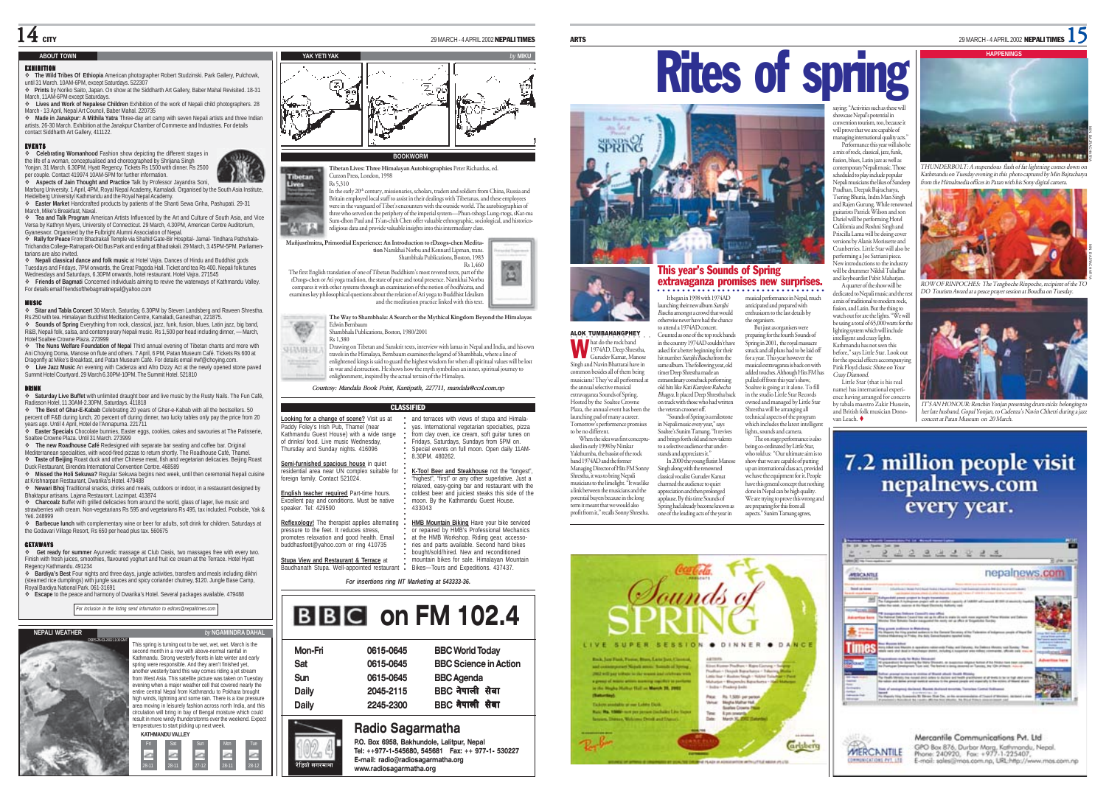#### **ABOUT TOWN**

#### EXHIBITION

- **The Wild Tribes Of Ethiopia** American photographer Robert Studzinski. Park Gallery, Pulchowk, until 31 March. 10AM-6PM, except Saturdays. 522307
- **Prints** by Noriko Saito, Japan. On show at the Siddharth Art Gallery, Baber Mahal Revisited. 18-31 March, 11AM-6PM except Saturdays.
- **Lives and Work of Nepalese Children** Exhibition of the work of Nepali child photographers. 28 March - 13 April, Nepal Art Council, Baber Mahal. 220735

 **Made in Janakpur: A Mithila Yatra** Three-day art camp with seven Nepali artists and three Indian artists. 26-30 March. Exhibition at the Janakpur Chamber of Commerce and Industries. For details contact Siddharth Art Gallery, 411122.

#### EVENTS

 **Celebrating Womanhood** Fashion show depicting the different stages in the life of a woman, conceptualised and choreographed by Shrijana Singh<br>Yonjan. 31 March. 6.30PM, Hyatt Regency. Tickets Rs 1500 with dinner. Rs 2500<br>per couple. Contact 419974 10AM-5PM for further information.

 **Aspects of Jain Thought and Practice** Talk by Professor Jayandra Soni, Marburg University. 1 April, 4PM, Royal Nepal Academy, Kamaladi. Organised by the South Asia Institute, Heidelberg University/ Kathmandu and the Royal Nepal Academy.

- **Easter Market** Handcrafted products by patients of the Shanti Sewa Griha, Pashupati. 29-31 March, Mike's Breakfast, Naxal.
- **Tea and Talk Program** American Artists Influenced by the Art and Culture of South Asia, and Vice Versa by Kathryn Myers, University of Connecticut. 29 March, 4.30PM, American Centre Auditorium, Gyaneswor. Organised by the Fulbright Alumni Association of Nepal.

 **Rally for Peace** From Bhadrakali Temple via Shahid Gate-Bir Hospital- Jamal- Tindhara Pathshala-Trichandra College-Ratnapark-Old Bus Park and ending at Bhadrakali. 29 March, 3.45PM-5PM. Parliamentarians are also invited.

 **Nepali classical dance and folk music** at Hotel Vajra. Dances of Hindu and Buddhist gods Tuesdays and Fridays, 7PM onwards, the Great Pagoda Hall. Ticket and tea Rs 400. Nepali folk tunes Wednesdays and Saturdays, 6.30PM onwards, hotel restaurant. Hotel Vajra. 271545 **Friends of Bagmati** Concerned individuals aiming to revive the waterways of Kathmandu Valley.

## For details email friendsofthebagmatinepal@yahoo.com

MUSIC **Sitar and Tabla Concert** 30 March, Saturday, 6.30PM by Steven Landsberg and Raveen Shrestha. Rs 250 with tea. Himalayan Buddhist Meditation Centre, Kamaladi, Ganesthan, 221875.

 **Sounds of Spring** Everything from rock, classical, jazz, funk, fusion, blues, Latin jazz, big band, R&B, Nepali folk, salsa, and contemporary Nepali music. Rs 1,500 per head including dinner, — March, Hotel Soaltee Crowne Plaza. 273999

 **The Nuns Welfare Foundation of Nepal** Third annual evening of Tibetan chants and more with Ani Choying Doma, Manose on flute and others. 7 April, 6 PM, Patan Museum Café. Tickets Rs 600 at Dragonfly at Mike's Breakfast, and Patan Museum Café. For details email nwf@choying.com. **Live Jazz Music** An evening with Cadenza and Afro Dizzy Act at the newly opened stone paved Summit Hotel Courtyard. 29 March 6.30PM-10PM. The Summit Hotel. 521810

DRINK **Saturday Live Buffet** with unlimited draught beer and live music by the Rusty Nails. The Fun Café, Radisson Hotel, 11.30AM-2.30PM, Saturdays. 411818

 **The Best of Ghar-E-Kabab** Celebrating 20 years of Ghar-e-Kabab with all the bestsellers. 50 percent off F&B during lunch, 20 percent off during dinner, two lucky tables only pay the price from 20 years ago. Until 4 April, Hotel de l'Annapurna. 221711 **Easter Specials** Chocolate bunnies, Easter eggs, cookies, cakes and savouries at The Patisserie,

Soaltee Crowne Plaza. Until 31 March. 273999

 **The new Roadhouse Café** Redesigned with separate bar seating and coffee bar. Original Mediterranean specialities, with wood-fired pizzas to return shortly. The Roadhouse Café, Thamel.

 **Taste of Beijing** Roast duck and other Chinese meat, fish and vegetarian delicacies. Beijing Roast Duck Restaurant, Birendra International Convention Centre. 468589

**Missed the Holi Sekuwa?** Regular Sekuwa begins next week, until then ceremonial Nepali cuisine at Krishnarpan Restaurant, Dwarika's Hotel. 479488

**Newari Bhoj** Traditional snacks, drinks and meals, outdoors or indoor, in a restaurant designed by

Bhaktapur artisans. Lajana Restaurant. Lazimpat. 413874 **Charcoalz** Buffet with grilled delicacies from around the world, glass of lager, live music and strawberries with cream. Non-vegetarians Rs 595 and vegetarians Rs 495, tax included. Poolside, Yak &

Yeti. 248999 **Barbecue lunch** with complementary wine or beer for adults, soft drink for children. Saturdays at the Godavari Village Resort, Rs 650 per head plus tax. 560675

#### **GETAWAYS**

 **Get ready for summer** Ayurvedic massage at Club Oasis, two massages free with every two. Finish with fresh juices, smoothies, flavoured yoghurt and fruit ice cream at the Terrace. Hotel Hyatt Regency Kathmandu. 491234

 **Bardiya's Best** Four nights and three days, jungle activities, transfers and meals including dikhri (steamed rice dumplings) with jungle sauces and spicy coriander chutney, \$120. Jungle Base Camp, Royal Bardiya National Park. 061-31691

**Escape** to the peace and harmony of Dwarika's Hotel. Several packages available. 479488

*For inclusion in the listing send information to editors@nepalitimes.com*

| <b>NEPALI WEATHER</b>  | by NGAMINDRA DAHAL                                                                                                                                                                                                                                                                                                                                                                                                                                                                                                                                                                                                                                                                                                                                                                                           |
|------------------------|--------------------------------------------------------------------------------------------------------------------------------------------------------------------------------------------------------------------------------------------------------------------------------------------------------------------------------------------------------------------------------------------------------------------------------------------------------------------------------------------------------------------------------------------------------------------------------------------------------------------------------------------------------------------------------------------------------------------------------------------------------------------------------------------------------------|
| DSES/26/03/07/21100 GM | This spring is turning out to be wet, wet, wet. March is the<br>second month in a row with above-normal rainfall in<br>Kathmandu. Strong westerly fronts in late winter and early<br>soring were responsible. And they aren't finished yet.<br>another westerly band this way comes riding a jet stream<br>from West Asia. This satellite picture was taken on Tuesday<br>evening when a major weather cell that covered nearly the<br>entire central Nepal from Kathmandu to Pokhara brought<br>high winds, lightning and some rain. There is a low pressure<br>area moving in leisurely fashion across north India, and this<br>circulation will bring in bay of Bengal moisture which could<br>result in more windy thunderstorms over the weekend. Expect<br>temperatures to start picking up next week. |
|                        | <b>KATHMANDU VALLEY</b>                                                                                                                                                                                                                                                                                                                                                                                                                                                                                                                                                                                                                                                                                                                                                                                      |
|                        | Sin<br>Mon.<br>Sat<br>Tue<br>Eri<br>$27 - 12$                                                                                                                                                                                                                                                                                                                                                                                                                                                                                                                                                                                                                                                                                                                                                                |

# **YAK YETI YAK** *by* **MIKU** æ.

#### **BOOKWORM**

**Tibetan Lives: Three Himalayan Autobiographies** Peter Richardus, ed. Curzon Press, London, 1998 Tibaran m.

Rs 5,310 In the early 20th century, missionaries, scholars, traders and soldiers from China, Russia and

Britain employed local staff to assist in their dealings with Tibetanas, and these employees were in the vanguard of Tibet's encounters with the outside world. The autobiographies of three who served on the periphery of the imperial system—Phun-tshogs Lung-rtogs, sKar-ma Sum-dhon Paul and Ts'an-chih Chen offer valuable ethnographic, sociological, and historico-■ 大きさん religious data and provide valuable insights into this intermediary class.

**Mañjusrîmitra, Primordial Experience: An Introduction to rDzogs-chen Meditation** Namkhai Norbu and Kennard Lipman, trans. Shambhala Publications, Boston, 1983 Rs 1,460

The first English translation of one of Tibetan Buddhism's most revered texts, part of the rDzogs-chen or Ati yoga tradition, the state of pure and total presence. Namkhai Norbu compares it with other systems through an examination of the notion of bodhicitta, and examines key philosophical questions about the relation of Ati yoga to Buddhist Idealism and the meditation practice linked with this text.

**The Way to Shambhala: A Search or the Mythical Kingdom Beyond the Himalayas** Edwin Bernbaum Shambhala Publications, Boston, 1980/2001

Rs 1,380

Drawing on Tibetan and Sanskrit texts, interview with lamas in Nepal and India, and his own **GEAMIELA** travels in the Himalaya, Bernbaum examines the legend of Shambhala, where a line of enlightened kings is said to guard the highest wisdom for when all spiritual values will be lost in war and destruction. He shows how the myth symbolises an inner, spiritual journey to enlightenment, inspired by the actual terrain of the Himalaya.

*Courtesy: Mandala Book Point, Kantipath, 227711, mandala@ccsl.com.np*

#### CLASSIFIED

| Looking for a change of scene? Visit us at<br>Paddy Folev's Irish Pub. Thamel (near<br>Kathmandu Guest House) with a wide range<br>of drinks/ food. Live music Wednesdav.<br>Thursday and Sunday nights. 416096 | and terraces with views of stupa and Himala-<br>vas. International vegetarian specialties, pizza<br>from clav oven, ice cream, soft quitar tunes on<br>Fridays, Saturdays, Sundays from 5PM on.<br>Special events on full moon. Open daily 11AM-<br>8.30PM, 480262. |
|-----------------------------------------------------------------------------------------------------------------------------------------------------------------------------------------------------------------|---------------------------------------------------------------------------------------------------------------------------------------------------------------------------------------------------------------------------------------------------------------------|
| Semi-furnished spacious house in quiet                                                                                                                                                                          |                                                                                                                                                                                                                                                                     |
| residential area near UN complex suitable for<br>foreign family, Contact 521024.                                                                                                                                | K-Too! Beer and Steakhouse not the "longest",<br>"highest", "first" or any other superlative, Just a<br>relaxed, easy-going bar and restaurant with the                                                                                                             |
| English teacher required Part-time hours.<br>Excellent pay and conditions. Must be native<br>speaker, Tel: 429590                                                                                               | coldest beer and juiciest steaks this side of the<br>moon. By the Kathmandu Guest House.<br>433043                                                                                                                                                                  |
| Reflexology! The therapist applies alternating<br>pressure to the feet. It reduces stress.<br>promotes relaxation and good health. Email<br>buddhasfeet@yahoo.com or ring 410735                                | HMB Mountain Biking Have your bike serviced<br>or repaired by HMB's Professional Mechanics<br>at the HMB Workshop. Riding gear, accesso-<br>ries and parts available. Second hand bikes<br>bought/sold/hired. New and reconditioned                                 |
| Stupa View and Restaurant & Terrace at                                                                                                                                                                          | mountain bikes for sale. Himalavan Mountain                                                                                                                                                                                                                         |
| Baudhanath Stupa, Well-appointed restaurant                                                                                                                                                                     | Bikes-Tours and Expeditions. 437437.                                                                                                                                                                                                                                |

*For insertions ring NT Marketing at 543333-36.*

# **BBC** on FM 102.4

| Daily   | 2245-2300 | BBC नेपाली सेवा              |
|---------|-----------|------------------------------|
| Daily   | 2045-2115 | BBC नेपाली सेवा              |
| Sun     | 0615-0645 | <b>BBC</b> Agenda            |
| Sat     | 0615-0645 | <b>BBC Science in Action</b> |
| Mon-Fri | 0615-0645 | <b>BBC World Today</b>       |
|         |           |                              |

## **Radio Sagarmatha**

रेडियो सगरमाथा

spe

**P.O. Box 6958, Bakhundole, Lalitpur, Nepal Tel: ++977-1-545680, 545681 Fax: ++ 977-1- 530227 E-mail: radio@radiosagarmatha.org www.radiosagarmatha.org**



### This year's Sounds of Spring extravaganza promises new surprises. ○○○○○○○○○○○○○○○○○○○○○○○○○○○○○○○○

It began in 1998 with 1974AD launching their new album Samjhi aancamig u.c.n new aasun campin<br>Baschu amongst a crowd that would otherwise never have had the chance musical performance in Nepal, much anticipated and prepared with enthusiasm to the last details by the organisers. But just as orga

ALOK TUMBAHANGPHEY **O** D hat do the rock band to attend a 1974AD concert. Counted as one of the top rock bands in the country 1974AD couldn't have asked for a better beginning for their hit number Samjhi Baschu from the same album. The following year, old timer Deep Shrestha made an extraordinary comeback performing old hits like Kati Kamjore Rahecha Bhagya. It placed Deep Shrestha back on track with those who had written the veteran crooner off.

charmed the audience to quiet appreciation and then prolonged applause. By this time Sounds of Spring had already become known as one of the leading acts of the year in aspects." Sunim Tamang agrees,





#### convention tourism, too, because it will prove that we are capable of managing international quality acts." Performance this year will also be a mix of rock, classical, jazz, funk, fusion, blues, Latin jazz as well as contemporary Nepali music. Those scheduled to play include popular Nepali musicians the likes of Sandeep Pradhan, Deepak Bajracharya,

ARTS 29 MARCH - 4 APRIL 2002 NEPALI TIMES 15

Tsering Bhutia, Indra Man Singh and Rajen Gurung. While ren guitarists Patrick Wilson and son Dariel will be performing Hotel California and Roshni Singh and Priscilla Lama will be doing cover versions by Alanis Morissette and Cranberries. Little Star will also be performing a Joe Satriani piece. New introductions to the industr will be drummer Nikhil Tuladhar and keyboardist Pabit Maharjan.

showcase Nepal's potential in

preparing for the fourth Sounds of Spring in 2001, the royal massacre struck and all plans had to be laid off for a year. This year however the musical extravaganza is back on with added touches. Although Hits FM has A quarter of the show will be dedicated to Nepali music and the a mix of traditional to modern rock, fusion, and Latin. But the thing to watch out for are the lights. "We will be using a total of 65,000 watts for the lighting system which will include intelligent and crazy lights. Kathmandu has not seen this before," says Little Star. Look out for the special effects accompanying Pink Floyd classic Shine on Your

pulled off from this year's show, Soaltee is going at it alone. To fill in the studio Little Star Records owned and managed by Little Star Shrestha will be arranging all technical aspects of the program which includes the latest intelligen Crazy Diamond. Little Star (that is his real name) has international experience having arranged for concerts by tabala maestro Zakir Hussein, and British folk musician Donovan Leach.

lights, sounds and camera. The on stage performance is also being co-ordinated by Little Star, ug co commect by ratte out;<br>o told us: "Our ultimate aim is to show that we are capable of putting up an international class act, provided we have the equipment for it. People have this general concept that nothing done in Nepal can be high quality. We are trying to prove this wrong and are preparing for this from all



THUNDERBOLT: A stupendous flash of fat lightning comes down on Kathmandu on Tuesday evening in this photo captured by Min Bajracharya from the Himalmedia offices in Patan with his Sony digital camera.



ROW OF RINPOCHES: The Tengboche Rinpoche, recipient of the TO DO Tourism Award at a peace prayer session at Boudha on Tuesday.



IT'S AN HONOUR: Renchin Yonjan presenting drum sticks belonging to her late husband, Gopal Yonjan, to Cadenza's Navin Chhetri during a jazz concert at Patan Museum on 20 March.

## 7.2 million people visit nepalnews.com every year.





profit from it," recalls Sonny Shrestha.

W

52  $\mathfrak{Q}$ 

> Singh and Navin Bhattarai have in common besides all of them being musicians? They've all performed at the annual selective musical extravaganza Sounds of Spring. Hosted by the Soaltee Crowne Plaza, the annual event has been the launching pad of many a career. Tomorrow's performence promises to be no different.

> When the idea was first conceptualised in early 1998 by Nirakar Yakthumba, the bassist of the rock band 1974AD and the former Managing Director of Hits FM Sonny Shrestha, it was to bring Nepali musicians to the limelight. "It was like a link between the musicians and the

"Sounds of Spring is a milestone in Nepali music every year," says Soaltee's Sunim Tamang. "It revives and brings forth old and new talents to a selective audience that understands and appreciates it." In 2000 the young flutist Manose Singh along with the renowned classical vocalist Gurudev Kamat

potential buyers because in the long term it meant that we would also

1974AD, Deep Shrestha, Gurudev Kamat, Manose